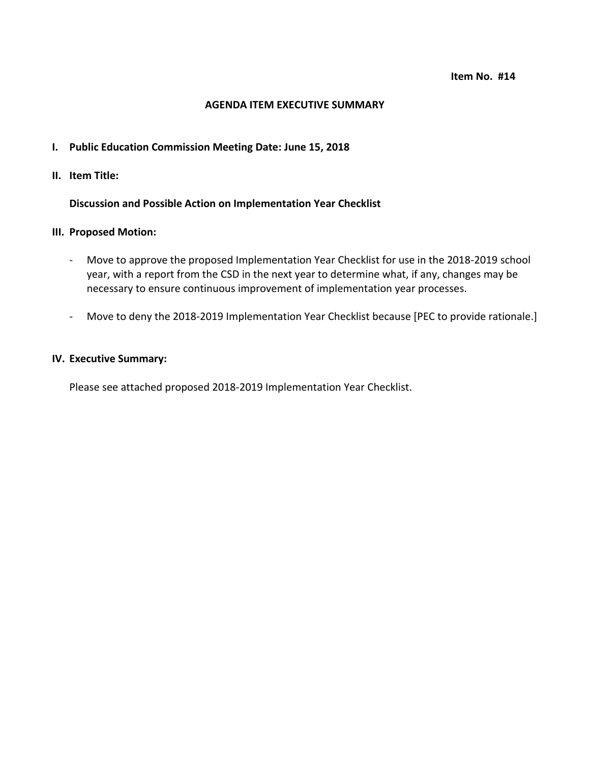### **AGENDA ITEM EXECUTIVE SUMMARY**

### **I. Public Education Commission Meeting Date: June 15, 2018**

**II. Item Title:** 

**Discussion and Possible Action on Implementation Year Checklist**

### **III. Proposed Motion:**

- Move to approve the proposed Implementation Year Checklist for use in the 2018-2019 school year, with a report from the CSD in the next year to determine what, if any, changes may be necessary to ensure continuous improvement of implementation year processes.
- Move to deny the 2018-2019 Implementation Year Checklist because [PEC to provide rationale.]

### **IV. Executive Summary:**

Please see attached proposed 2018-2019 Implementation Year Checklist.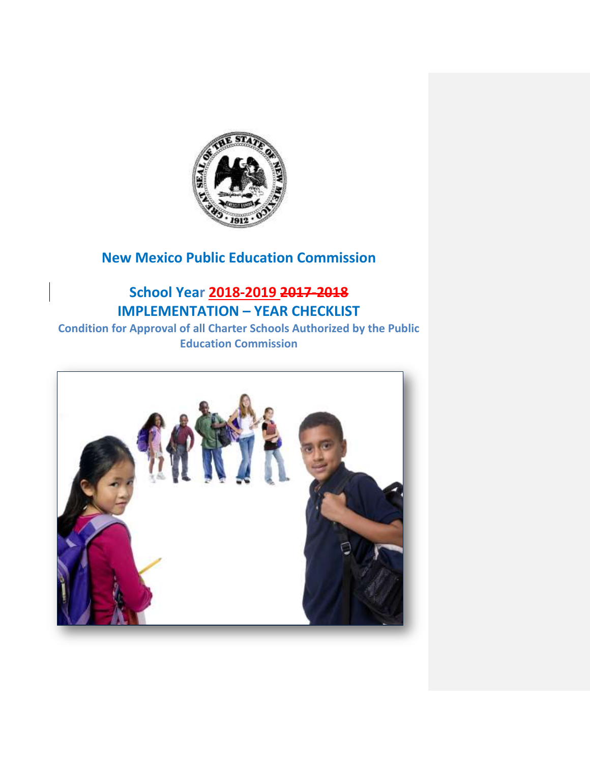

### **New Mexico Public Education Commission**

## **School Year 2018-2019 2017-2018 IMPLEMENTATION – YEAR CHECKLIST**

**Condition for Approval of all Charter Schools Authorized by the Public Education Commission**

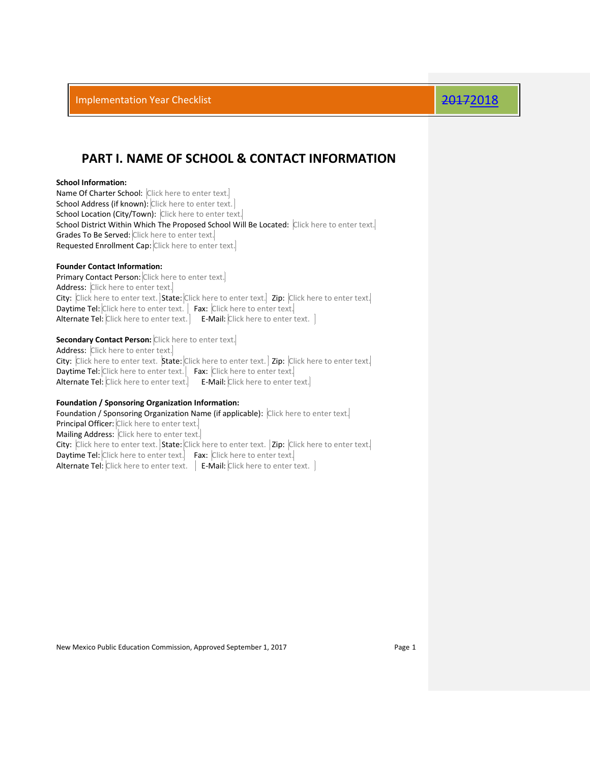### **PART I. NAME OF SCHOOL & CONTACT INFORMATION**

### **School Information:**

Name Of Charter School: Click here to enter text. School Address (if known): Click here to enter text. School Location (City/Town): Click here to enter text. School District Within Which The Proposed School Will Be Located: Click here to enter text. Grades To Be Served: Click here to enter text. Requested Enrollment Cap: Click here to enter text.

### **Founder Contact Information:**

Primary Contact Person: Click here to enter text. Address: Click here to enter text. City: Click here to enter text. State: Click here to enter text. Zip: Click here to enter text. Daytime Tel: Click here to enter text. | Fax: Click here to enter text. Alternate Tel: Click here to enter text. | E-Mail: Click here to enter text. |

### **Secondary Contact Person:** Click here to enter text.

Address: Click here to enter text. City: Click here to enter text. State: Click here to enter text. | Zip: Click here to enter text. Daytime Tel: Click here to enter text. Fax: Click here to enter text. Alternate Tel: Click here to enter text. E-Mail: Click here to enter text.

### **Foundation / Sponsoring Organization Information:**

Foundation / Sponsoring Organization Name (if applicable): Click here to enter text. Principal Officer: Click here to enter text. Mailing Address: Click here to enter text. City: Click here to enter text. State: Click here to enter text. | Zip: Click here to enter text.| Daytime Tel: Click here to enter text. Fax: Click here to enter text. Alternate Tel: Click here to enter text.  $\Big|$  E-Mail: Click here to enter text.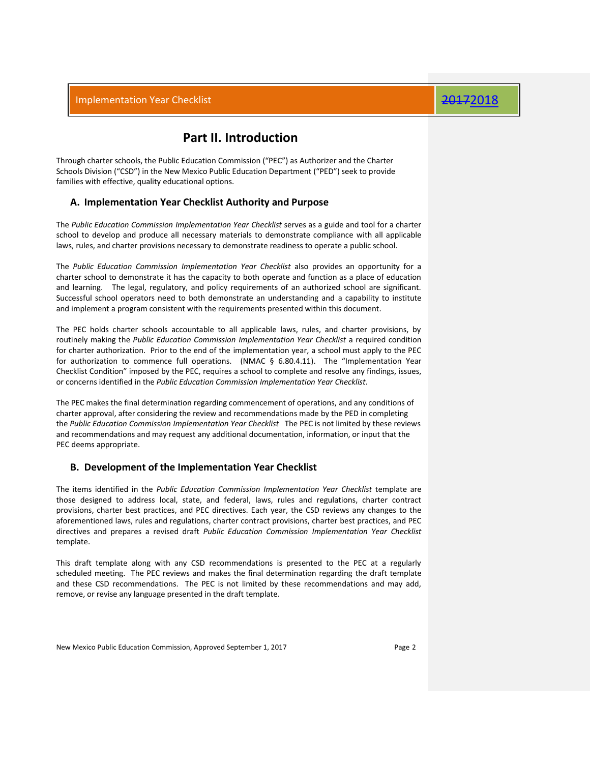### **Part II. Introduction**

Through charter schools, the Public Education Commission ("PEC") as Authorizer and the Charter Schools Division ("CSD") in the New Mexico Public Education Department ("PED") seek to provide families with effective, quality educational options.

### **A. Implementation Year Checklist Authority and Purpose**

The *Public Education Commission Implementation Year Checklist* serves as a guide and tool for a charter school to develop and produce all necessary materials to demonstrate compliance with all applicable laws, rules, and charter provisions necessary to demonstrate readiness to operate a public school.

The *Public Education Commission Implementation Year Checklist* also provides an opportunity for a charter school to demonstrate it has the capacity to both operate and function as a place of education and learning. The legal, regulatory, and policy requirements of an authorized school are significant. Successful school operators need to both demonstrate an understanding and a capability to institute and implement a program consistent with the requirements presented within this document.

The PEC holds charter schools accountable to all applicable laws, rules, and charter provisions, by routinely making the *Public Education Commission Implementation Year Checklist* a required condition for charter authorization. Prior to the end of the implementation year, a school must apply to the PEC for authorization to commence full operations. (NMAC § 6.80.4.11). The "Implementation Year Checklist Condition" imposed by the PEC, requires a school to complete and resolve any findings, issues, or concerns identified in the *Public Education Commission Implementation Year Checklist*.

The PEC makes the final determination regarding commencement of operations, and any conditions of charter approval, after considering the review and recommendations made by the PED in completing the *Public Education Commission Implementation Year Checklist* The PEC is not limited by these reviews and recommendations and may request any additional documentation, information, or input that the PEC deems appropriate.

### **B. Development of the Implementation Year Checklist**

The items identified in the *Public Education Commission Implementation Year Checklist* template are those designed to address local, state, and federal, laws, rules and regulations, charter contract provisions, charter best practices, and PEC directives. Each year, the CSD reviews any changes to the aforementioned laws, rules and regulations, charter contract provisions, charter best practices, and PEC directives and prepares a revised draft *Public Education Commission Implementation Year Checklist*  template.

This draft template along with any CSD recommendations is presented to the PEC at a regularly scheduled meeting. The PEC reviews and makes the final determination regarding the draft template and these CSD recommendations. The PEC is not limited by these recommendations and may add, remove, or revise any language presented in the draft template.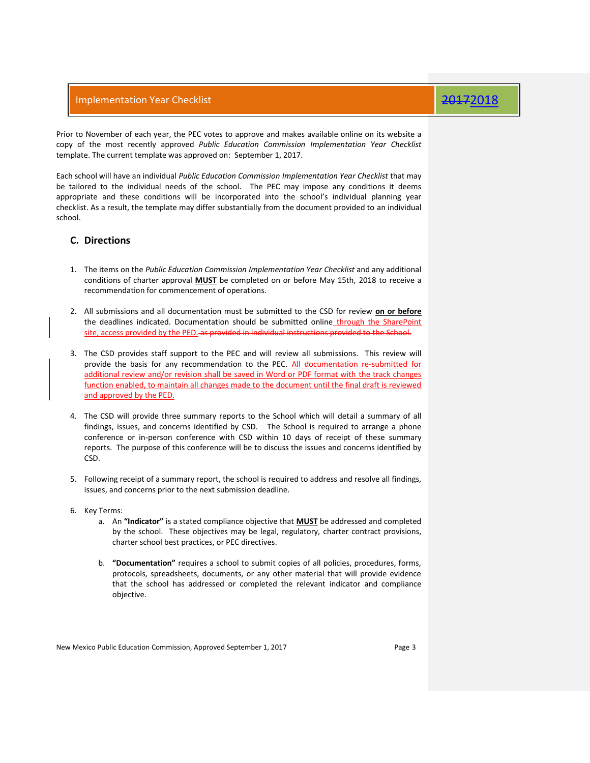Prior to November of each year, the PEC votes to approve and makes available online on its website a copy of the most recently approved *Public Education Commission Implementation Year Checklist*  template. The current template was approved on: September 1, 2017.

Each school will have an individual *Public Education Commission Implementation Year Checklist* that may be tailored to the individual needs of the school. The PEC may impose any conditions it deems appropriate and these conditions will be incorporated into the school's individual planning year checklist. As a result, the template may differ substantially from the document provided to an individual school.

### **C. Directions**

- 1. The items on the *Public Education Commission Implementation Year Checklist* and any additional conditions of charter approval **MUST** be completed on or before May 15th, 2018 to receive a recommendation for commencement of operations.
- 2. All submissions and all documentation must be submitted to the CSD for review **on or before** the deadlines indicated. Documentation should be submitted online through the SharePoint site, access provided by the PED. as provided in individual instructions provided to the School.
- 3. The CSD provides staff support to the PEC and will review all submissions. This review will provide the basis for any recommendation to the PEC. All documentation re-submitted for additional review and/or revision shall be saved in Word or PDF format with the track changes function enabled, to maintain all changes made to the document until the final draft is reviewed and approved by the PED.
- 4. The CSD will provide three summary reports to the School which will detail a summary of all findings, issues, and concerns identified by CSD. The School is required to arrange a phone conference or in-person conference with CSD within 10 days of receipt of these summary reports. The purpose of this conference will be to discuss the issues and concerns identified by CSD.
- 5. Following receipt of a summary report, the school is required to address and resolve all findings, issues, and concerns prior to the next submission deadline.
- 6. Key Terms:
	- a. An **"Indicator"** is a stated compliance objective that **MUST** be addressed and completed by the school. These objectives may be legal, regulatory, charter contract provisions, charter school best practices, or PEC directives.
	- b. **"Documentation"** requires a school to submit copies of all policies, procedures, forms, protocols, spreadsheets, documents, or any other material that will provide evidence that the school has addressed or completed the relevant indicator and compliance objective.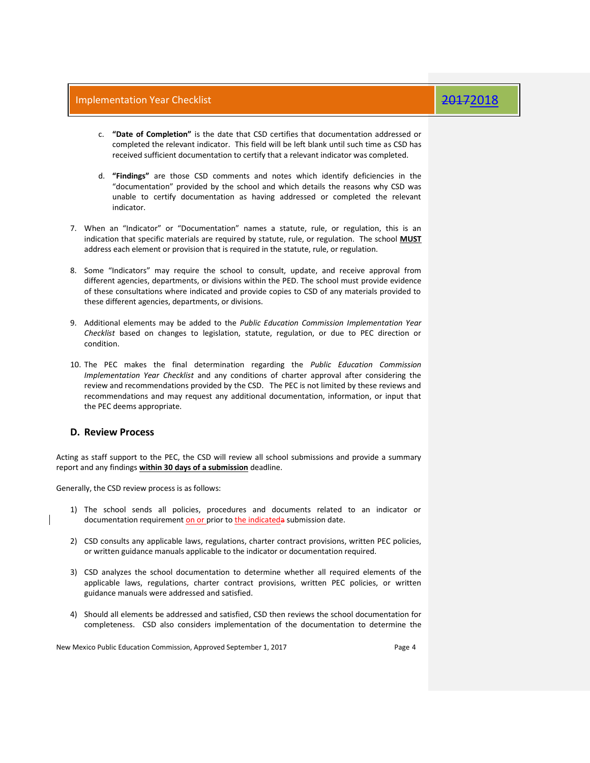- c. **"Date of Completion"** is the date that CSD certifies that documentation addressed or completed the relevant indicator. This field will be left blank until such time as CSD has received sufficient documentation to certify that a relevant indicator was completed.
- d. **"Findings"** are those CSD comments and notes which identify deficiencies in the "documentation" provided by the school and which details the reasons why CSD was unable to certify documentation as having addressed or completed the relevant indicator.
- 7. When an "Indicator" or "Documentation" names a statute, rule, or regulation, this is an indication that specific materials are required by statute, rule, or regulation. The school **MUST** address each element or provision that is required in the statute, rule, or regulation.
- 8. Some "Indicators" may require the school to consult, update, and receive approval from different agencies, departments, or divisions within the PED. The school must provide evidence of these consultations where indicated and provide copies to CSD of any materials provided to these different agencies, departments, or divisions.
- 9. Additional elements may be added to the *Public Education Commission Implementation Year Checklist* based on changes to legislation, statute, regulation, or due to PEC direction or condition.
- 10. The PEC makes the final determination regarding the *Public Education Commission Implementation Year Checklist* and any conditions of charter approval after considering the review and recommendations provided by the CSD. The PEC is not limited by these reviews and recommendations and may request any additional documentation, information, or input that the PEC deems appropriate.

### **D. Review Process**

Acting as staff support to the PEC, the CSD will review all school submissions and provide a summary report and any findings **within 30 days of a submission** deadline.

Generally, the CSD review process is as follows:

- 1) The school sends all policies, procedures and documents related to an indicator or documentation requirement on or prior to the indicateda submission date.
- 2) CSD consults any applicable laws, regulations, charter contract provisions, written PEC policies, or written guidance manuals applicable to the indicator or documentation required.
- 3) CSD analyzes the school documentation to determine whether all required elements of the applicable laws, regulations, charter contract provisions, written PEC policies, or written guidance manuals were addressed and satisfied.
- 4) Should all elements be addressed and satisfied, CSD then reviews the school documentation for completeness. CSD also considers implementation of the documentation to determine the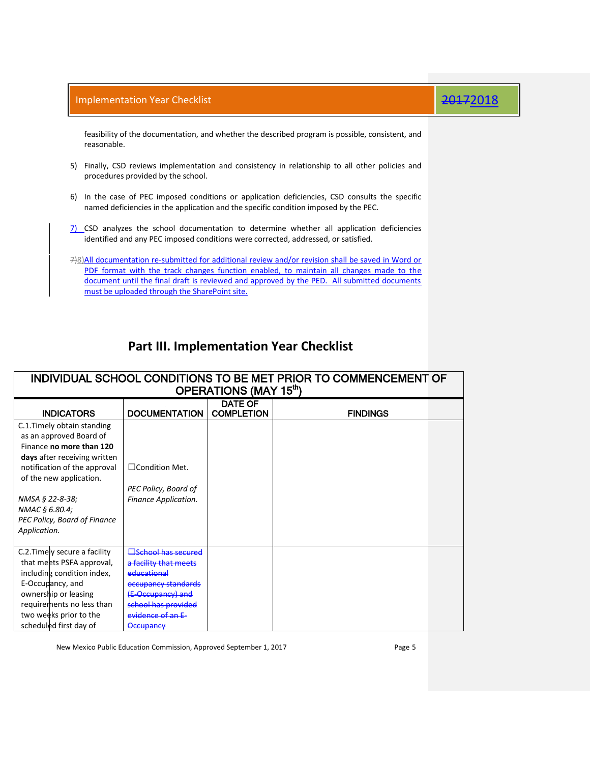feasibility of the documentation, and whether the described program is possible, consistent, and reasonable.

- 5) Finally, CSD reviews implementation and consistency in relationship to all other policies and procedures provided by the school.
- 6) In the case of PEC imposed conditions or application deficiencies, CSD consults the specific named deficiencies in the application and the specific condition imposed by the PEC.
- 7) CSD analyzes the school documentation to determine whether all application deficiencies identified and any PEC imposed conditions were corrected, addressed, or satisfied.

7)8)All documentation re-submitted for additional review and/or revision shall be saved in Word or PDF format with the track changes function enabled, to maintain all changes made to the document until the final draft is reviewed and approved by the PED. All submitted documents must be uploaded through the SharePoint site.

### **Part III. Implementation Year Checklist**

| INDIVIDUAL SCHOOL CONDITIONS TO BE MET PRIOR TO COMMENCEMENT OF |                                  |                   |                 |  |  |  |  |
|-----------------------------------------------------------------|----------------------------------|-------------------|-----------------|--|--|--|--|
| OPERATIONS (MAY 15 <sup>th</sup> )                              |                                  |                   |                 |  |  |  |  |
|                                                                 |                                  | <b>DATE OF</b>    |                 |  |  |  |  |
| <b>INDICATORS</b>                                               | <b>DOCUMENTATION</b>             | <b>COMPLETION</b> | <b>FINDINGS</b> |  |  |  |  |
| C.1. Timely obtain standing                                     |                                  |                   |                 |  |  |  |  |
| as an approved Board of                                         |                                  |                   |                 |  |  |  |  |
| Finance no more than 120                                        |                                  |                   |                 |  |  |  |  |
| days after receiving written                                    |                                  |                   |                 |  |  |  |  |
| notification of the approval                                    | $\Box$ Condition Met.            |                   |                 |  |  |  |  |
| of the new application.                                         |                                  |                   |                 |  |  |  |  |
|                                                                 | PEC Policy, Board of             |                   |                 |  |  |  |  |
| NMSA § 22-8-38;                                                 | Finance Application.             |                   |                 |  |  |  |  |
| NMAC § 6.80.4;                                                  |                                  |                   |                 |  |  |  |  |
| PEC Policy, Board of Finance                                    |                                  |                   |                 |  |  |  |  |
| Application.                                                    |                                  |                   |                 |  |  |  |  |
|                                                                 |                                  |                   |                 |  |  |  |  |
| C.2. Timely secure a facility                                   | <b>School has secured</b>        |                   |                 |  |  |  |  |
| that meets PSFA approval,                                       | <del>a facility that meets</del> |                   |                 |  |  |  |  |
| including condition index,                                      | educational                      |                   |                 |  |  |  |  |
| E-Occupancy, and                                                | occupancy standards              |                   |                 |  |  |  |  |
| ownership or leasing                                            | (E-Occupancy) and                |                   |                 |  |  |  |  |
| requirements no less than                                       | school has provided              |                   |                 |  |  |  |  |
| two weeks prior to the                                          | evidence of an E-                |                   |                 |  |  |  |  |
| scheduled first day of                                          | <del>Occupancy</del>             |                   |                 |  |  |  |  |

New Mexico Public Education Commission, Approved September 1, 2017 **Page 5**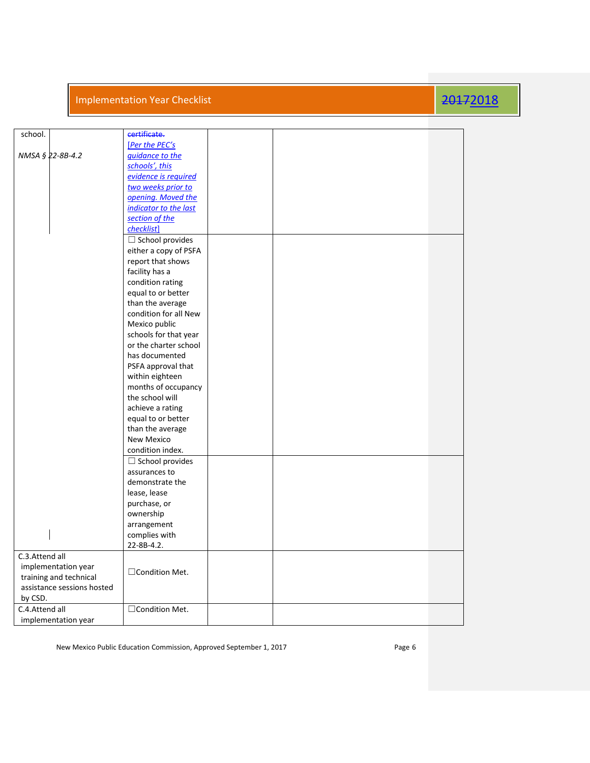| school.                                              | certificate.                                |  |  |
|------------------------------------------------------|---------------------------------------------|--|--|
|                                                      | [Per the PEC's                              |  |  |
| NMSA § 22-8B-4.2                                     | guidance to the                             |  |  |
|                                                      | schools', this                              |  |  |
|                                                      | evidence is required                        |  |  |
|                                                      | two weeks prior to                          |  |  |
|                                                      | opening. Moved the<br>indicator to the last |  |  |
|                                                      | section of the                              |  |  |
|                                                      | checklist]                                  |  |  |
|                                                      | $\Box$ School provides                      |  |  |
|                                                      | either a copy of PSFA                       |  |  |
|                                                      | report that shows                           |  |  |
|                                                      | facility has a                              |  |  |
|                                                      | condition rating                            |  |  |
|                                                      | equal to or better                          |  |  |
|                                                      | than the average                            |  |  |
|                                                      | condition for all New                       |  |  |
|                                                      | Mexico public                               |  |  |
|                                                      | schools for that year                       |  |  |
|                                                      | or the charter school                       |  |  |
|                                                      | has documented                              |  |  |
|                                                      | PSFA approval that                          |  |  |
|                                                      | within eighteen                             |  |  |
|                                                      | months of occupancy                         |  |  |
|                                                      | the school will                             |  |  |
|                                                      | achieve a rating                            |  |  |
|                                                      | equal to or better                          |  |  |
|                                                      | than the average                            |  |  |
|                                                      | <b>New Mexico</b>                           |  |  |
|                                                      | condition index.                            |  |  |
|                                                      | $\Box$ School provides                      |  |  |
|                                                      | assurances to                               |  |  |
|                                                      | demonstrate the                             |  |  |
|                                                      | lease, lease                                |  |  |
|                                                      | purchase, or                                |  |  |
|                                                      | ownership                                   |  |  |
|                                                      | arrangement                                 |  |  |
|                                                      | complies with                               |  |  |
|                                                      | 22-8B-4.2.                                  |  |  |
| C.3.Attend all                                       |                                             |  |  |
| implementation year                                  | □ Condition Met.                            |  |  |
| training and technical<br>assistance sessions hosted |                                             |  |  |
| by CSD.                                              |                                             |  |  |
| C.4.Attend all                                       | □ Condition Met.                            |  |  |
| implementation year                                  |                                             |  |  |
|                                                      |                                             |  |  |

New Mexico Public Education Commission, Approved September 1, 2017 **Page 6**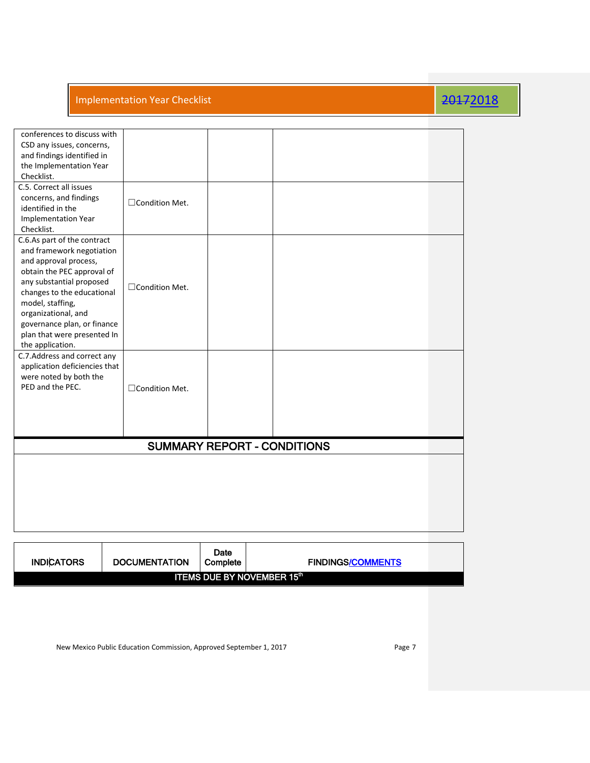| conferences to discuss with<br>CSD any issues, concerns,<br>and findings identified in<br>the Implementation Year<br>Checklist.<br>C.5. Correct all issues<br>concerns, and findings<br>□ Condition Met.<br>identified in the<br><b>Implementation Year</b><br>Checklist.<br>C.6.As part of the contract<br>and framework negotiation<br>and approval process, |
|----------------------------------------------------------------------------------------------------------------------------------------------------------------------------------------------------------------------------------------------------------------------------------------------------------------------------------------------------------------|
|                                                                                                                                                                                                                                                                                                                                                                |
|                                                                                                                                                                                                                                                                                                                                                                |
|                                                                                                                                                                                                                                                                                                                                                                |
|                                                                                                                                                                                                                                                                                                                                                                |
|                                                                                                                                                                                                                                                                                                                                                                |
|                                                                                                                                                                                                                                                                                                                                                                |
|                                                                                                                                                                                                                                                                                                                                                                |
|                                                                                                                                                                                                                                                                                                                                                                |
|                                                                                                                                                                                                                                                                                                                                                                |
|                                                                                                                                                                                                                                                                                                                                                                |
|                                                                                                                                                                                                                                                                                                                                                                |
|                                                                                                                                                                                                                                                                                                                                                                |
|                                                                                                                                                                                                                                                                                                                                                                |
| obtain the PEC approval of                                                                                                                                                                                                                                                                                                                                     |
| any substantial proposed                                                                                                                                                                                                                                                                                                                                       |
| □Condition Met.<br>changes to the educational                                                                                                                                                                                                                                                                                                                  |
|                                                                                                                                                                                                                                                                                                                                                                |
| model, staffing,                                                                                                                                                                                                                                                                                                                                               |
| organizational, and                                                                                                                                                                                                                                                                                                                                            |
| governance plan, or finance                                                                                                                                                                                                                                                                                                                                    |
| plan that were presented In                                                                                                                                                                                                                                                                                                                                    |
| the application.                                                                                                                                                                                                                                                                                                                                               |
| C.7. Address and correct any                                                                                                                                                                                                                                                                                                                                   |
| application deficiencies that                                                                                                                                                                                                                                                                                                                                  |
| were noted by both the                                                                                                                                                                                                                                                                                                                                         |
| PED and the PEC.<br>□Condition Met.                                                                                                                                                                                                                                                                                                                            |
|                                                                                                                                                                                                                                                                                                                                                                |
|                                                                                                                                                                                                                                                                                                                                                                |
|                                                                                                                                                                                                                                                                                                                                                                |
|                                                                                                                                                                                                                                                                                                                                                                |
| SUMMARY REPORT - CONDITIONS                                                                                                                                                                                                                                                                                                                                    |
|                                                                                                                                                                                                                                                                                                                                                                |
|                                                                                                                                                                                                                                                                                                                                                                |
|                                                                                                                                                                                                                                                                                                                                                                |
|                                                                                                                                                                                                                                                                                                                                                                |
|                                                                                                                                                                                                                                                                                                                                                                |
|                                                                                                                                                                                                                                                                                                                                                                |
|                                                                                                                                                                                                                                                                                                                                                                |
|                                                                                                                                                                                                                                                                                                                                                                |

| <b>INDICATORS</b> | <b>DOCUMENTATION</b> | Date<br>Complete | <b>FINDINGS/COMMENTS</b>     |  |
|-------------------|----------------------|------------------|------------------------------|--|
|                   |                      |                  | ITEMS DUE BY NOVEMBER 15th ! |  |

New Mexico Public Education Commission, Approved September 1, 2017 **Page 7** Page 7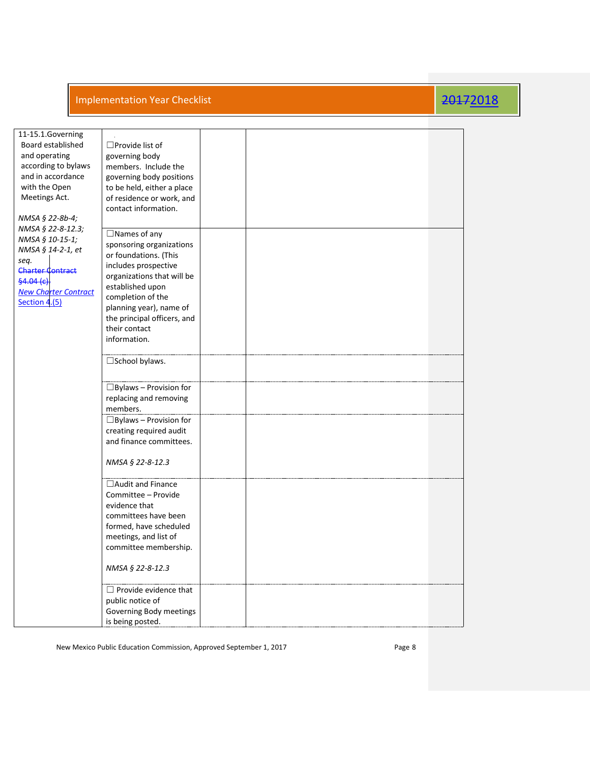| 11-15.1.Governing<br>Board established<br>and operating<br>according to bylaws<br>and in accordance<br>with the Open<br>Meetings Act.<br>NMSA § 22-8b-4;              | $\Box$ Provide list of<br>governing body<br>members. Include the<br>governing body positions<br>to be held, either a place<br>of residence or work, and<br>contact information.                                                                                    |  |  |
|-----------------------------------------------------------------------------------------------------------------------------------------------------------------------|--------------------------------------------------------------------------------------------------------------------------------------------------------------------------------------------------------------------------------------------------------------------|--|--|
| NMSA § 22-8-12.3;<br>NMSA § 10-15-1;<br>NMSA § 14-2-1, et<br>seq.<br><b>Charter Contract</b><br><del>§4.04 (c).</del><br><b>New Charter Contract</b><br>Section 4.(5) | $\Box$ Names of any<br>sponsoring organizations<br>or foundations. (This<br>includes prospective<br>organizations that will be<br>established upon<br>completion of the<br>planning year), name of<br>the principal officers, and<br>their contact<br>information. |  |  |
|                                                                                                                                                                       | $\square$ School bylaws.                                                                                                                                                                                                                                           |  |  |
|                                                                                                                                                                       | $\Box$ Bylaws - Provision for<br>replacing and removing<br>members.                                                                                                                                                                                                |  |  |
|                                                                                                                                                                       | $\Box$ Bylaws - Provision for<br>creating required audit<br>and finance committees.<br>NMSA § 22-8-12.3                                                                                                                                                            |  |  |
|                                                                                                                                                                       | $\Box$ Audit and Finance<br>Committee - Provide<br>evidence that<br>committees have been<br>formed, have scheduled<br>meetings, and list of<br>committee membership.<br>NMSA § 22-8-12.3                                                                           |  |  |
|                                                                                                                                                                       | $\Box$ Provide evidence that<br>public notice of<br>Governing Body meetings<br>is being posted.                                                                                                                                                                    |  |  |

New Mexico Public Education Commission, Approved September 1, 2017 **Page 8** Page 8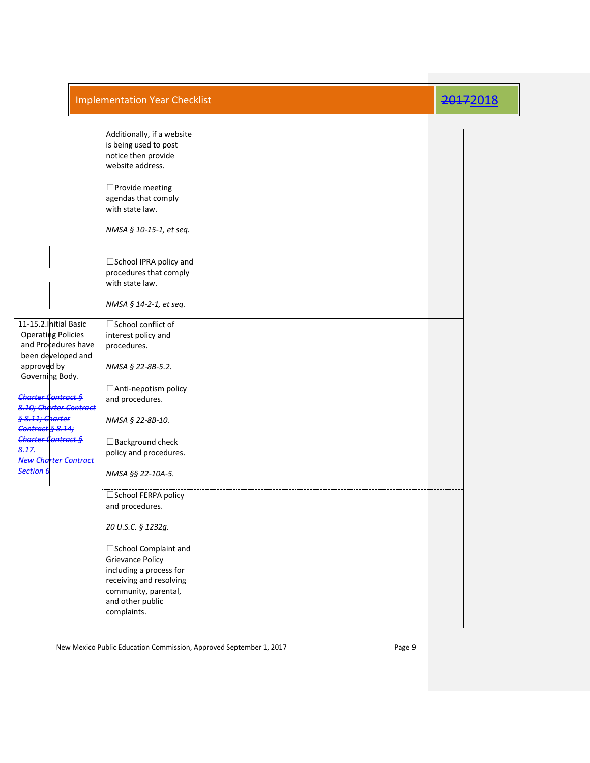|                                                                                                  | Additionally, if a website<br>is being used to post<br>notice then provide<br>website address.                                                                    |  |  |  |
|--------------------------------------------------------------------------------------------------|-------------------------------------------------------------------------------------------------------------------------------------------------------------------|--|--|--|
|                                                                                                  | $\square$ Provide meeting<br>agendas that comply<br>with state law.                                                                                               |  |  |  |
|                                                                                                  | NMSA § 10-15-1, et seq.                                                                                                                                           |  |  |  |
|                                                                                                  | $\Box$ School IPRA policy and<br>procedures that comply<br>with state law.                                                                                        |  |  |  |
|                                                                                                  | NMSA § 14-2-1, et seq.                                                                                                                                            |  |  |  |
| 11-15.2. Initial Basic<br><b>Operating Policies</b><br>and Procedures have<br>been developed and | $\square$ School conflict of<br>interest policy and<br>procedures.                                                                                                |  |  |  |
| approved by<br>Governing Body.                                                                   | NMSA § 22-8B-5.2.                                                                                                                                                 |  |  |  |
| Charter Contract §<br>8.10; Charter Contract                                                     | □ Anti-nepotism policy<br>and procedures.                                                                                                                         |  |  |  |
| <del>§ 8.11; Charter</del><br>Contract § 8.14;                                                   | NMSA § 22-8B-10.                                                                                                                                                  |  |  |  |
| Charter Contract §<br>8.17.<br><b>New Charter Contract</b>                                       | □ Background check<br>policy and procedures.                                                                                                                      |  |  |  |
| Section 6                                                                                        | NMSA §§ 22-10A-5.                                                                                                                                                 |  |  |  |
|                                                                                                  | □School FERPA policy<br>and procedures.                                                                                                                           |  |  |  |
|                                                                                                  | 20 U.S.C. § 1232g.                                                                                                                                                |  |  |  |
|                                                                                                  | □School Complaint and<br><b>Grievance Policy</b><br>including a process for<br>receiving and resolving<br>community, parental,<br>and other public<br>complaints. |  |  |  |
|                                                                                                  |                                                                                                                                                                   |  |  |  |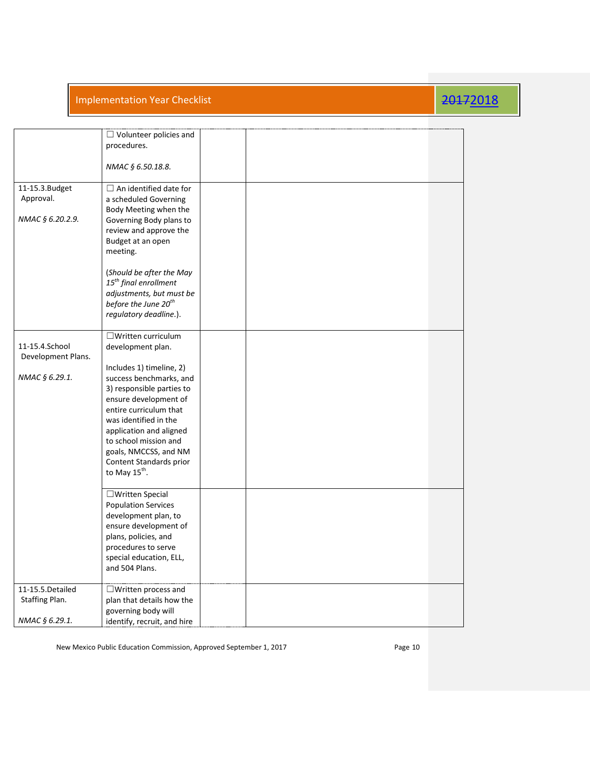|                                                        | $\Box$ Volunteer policies and<br>procedures.<br>NMAC § 6.50.18.8.                                                                                                                                                                                                                                                                                   |  |  |
|--------------------------------------------------------|-----------------------------------------------------------------------------------------------------------------------------------------------------------------------------------------------------------------------------------------------------------------------------------------------------------------------------------------------------|--|--|
| 11-15.3.Budget<br>Approval.<br>NMAC § 6.20.2.9.        | $\Box$ An identified date for<br>a scheduled Governing<br>Body Meeting when the<br>Governing Body plans to<br>review and approve the<br>Budget at an open<br>meeting.<br>(Should be after the May<br>$15th$ final enrollment<br>adjustments, but must be<br>before the June 20 <sup>th</sup><br>regulatory deadline.).                              |  |  |
| 11-15.4.School<br>Development Plans.<br>NMAC § 6.29.1. | $\Box$ Written curriculum<br>development plan.<br>Includes 1) timeline, 2)<br>success benchmarks, and<br>3) responsible parties to<br>ensure development of<br>entire curriculum that<br>was identified in the<br>application and aligned<br>to school mission and<br>goals, NMCCSS, and NM<br>Content Standards prior<br>to May $15^{\text{th}}$ . |  |  |
|                                                        | □ Written Special<br><b>Population Services</b><br>development plan, to<br>ensure development of<br>plans, policies, and<br>procedures to serve<br>special education, ELL,<br>and 504 Plans.                                                                                                                                                        |  |  |
| 11-15.5. Detailed<br>Staffing Plan.<br>NMAC § 6.29.1.  | $\Box$ Written process and<br>plan that details how the<br>governing body will<br>identify, recruit, and hire                                                                                                                                                                                                                                       |  |  |

New Mexico Public Education Commission, Approved September 1, 2017 **Page 10** Page 10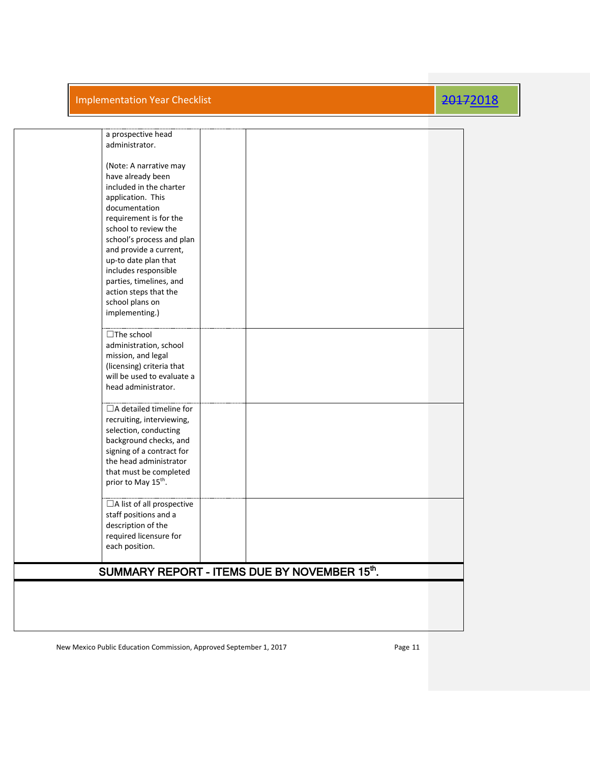| a prospective head                           |  |  |
|----------------------------------------------|--|--|
| administrator.                               |  |  |
|                                              |  |  |
| (Note: A narrative may                       |  |  |
| have already been                            |  |  |
| included in the charter                      |  |  |
| application. This                            |  |  |
| documentation                                |  |  |
| requirement is for the                       |  |  |
| school to review the                         |  |  |
| school's process and plan                    |  |  |
| and provide a current,                       |  |  |
| up-to date plan that                         |  |  |
| includes responsible                         |  |  |
| parties, timelines, and                      |  |  |
| action steps that the                        |  |  |
| school plans on                              |  |  |
| implementing.)                               |  |  |
|                                              |  |  |
| $\Box$ The school                            |  |  |
| administration, school                       |  |  |
| mission, and legal                           |  |  |
| (licensing) criteria that                    |  |  |
| will be used to evaluate a                   |  |  |
| head administrator.                          |  |  |
|                                              |  |  |
| $\Box$ A detailed timeline for               |  |  |
| recruiting, interviewing,                    |  |  |
| selection, conducting                        |  |  |
| background checks, and                       |  |  |
| signing of a contract for                    |  |  |
| the head administrator                       |  |  |
| that must be completed                       |  |  |
| prior to May 15 <sup>th</sup> .              |  |  |
|                                              |  |  |
| $\Box$ A list of all prospective             |  |  |
| staff positions and a                        |  |  |
| description of the                           |  |  |
| required licensure for                       |  |  |
| each position.                               |  |  |
|                                              |  |  |
|                                              |  |  |
| SUMMARY REPORT - ITEMS DUE BY NOVEMBER 15th. |  |  |
|                                              |  |  |
|                                              |  |  |
|                                              |  |  |
|                                              |  |  |
|                                              |  |  |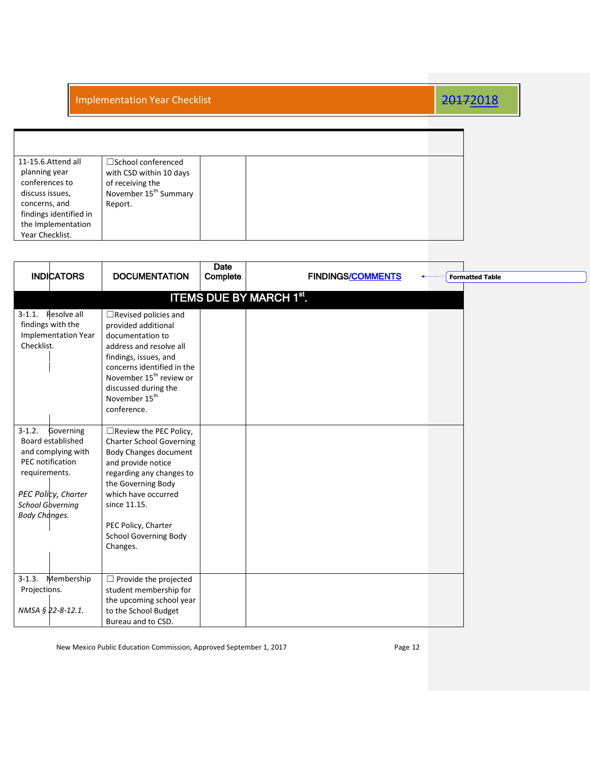| 11-15.6. Attend all<br>$\square$ School conferenced<br>planning year<br>with CSD within 10 days<br>conferences to                                                       |
|-------------------------------------------------------------------------------------------------------------------------------------------------------------------------|
| of receiving the<br>November 15 <sup>th</sup> Summary<br>discuss issues,<br>concerns, and<br>Report.<br>findings identified in<br>the Implementation<br>Year Checklist. |

| <b>INDICATORS</b>                                                                                                                                                                  | <b>DOCUMENTATION</b>                                                                                                                                                                                                                                                               | <b>Date</b><br>Complete | <b>FINDINGS/COMMENTS</b>       | <b>Formatted Table</b> |  |
|------------------------------------------------------------------------------------------------------------------------------------------------------------------------------------|------------------------------------------------------------------------------------------------------------------------------------------------------------------------------------------------------------------------------------------------------------------------------------|-------------------------|--------------------------------|------------------------|--|
|                                                                                                                                                                                    |                                                                                                                                                                                                                                                                                    |                         | <b>ITEMS DUE BY MARCH 1st.</b> |                        |  |
| Resolve all<br>$3-1.1.$<br>findings with the<br><b>Implementation Year</b><br>Checklist.                                                                                           | $\Box$ Revised policies and<br>provided additional<br>documentation to<br>address and resolve all<br>findings, issues, and<br>concerns identified in the<br>November 15 <sup>th</sup> review or<br>discussed during the<br>November 15 <sup>th</sup><br>conference.                |                         |                                |                        |  |
| $3 - 1.2$ .<br>Governing<br>Board established<br>and complying with<br>PEC notification<br>requirements.<br>PEC Policy, Charter<br><b>School Governing</b><br><b>Body Changes.</b> | $\Box$ Review the PEC Policy,<br><b>Charter School Governing</b><br><b>Body Changes document</b><br>and provide notice<br>regarding any changes to<br>the Governing Body<br>which have occurred<br>since 11.15.<br>PEC Policy, Charter<br><b>School Governing Body</b><br>Changes. |                         |                                |                        |  |
| Membership<br>$3-1.3.$<br>Projections.<br>NMSA § 22-8-12.1.                                                                                                                        | $\Box$ Provide the projected<br>student membership for<br>the upcoming school year<br>to the School Budget<br>Bureau and to CSD.                                                                                                                                                   |                         |                                |                        |  |

New Mexico Public Education Commission, Approved September 1, 2017 **Page 12** Page 12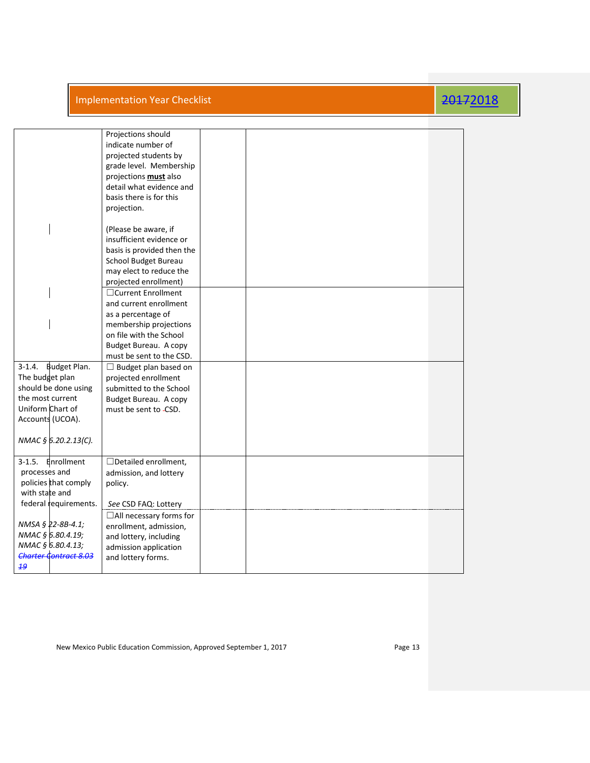|  |  | Implementation Year Checklist |
|--|--|-------------------------------|

## 2017<sub>2018</sub>

|                                                                                                                                                                   | Projections should<br>indicate number of<br>projected students by<br>grade level. Membership<br>projections <b>must</b> also<br>detail what evidence and<br>basis there is for this<br>projection. |  |  |
|-------------------------------------------------------------------------------------------------------------------------------------------------------------------|----------------------------------------------------------------------------------------------------------------------------------------------------------------------------------------------------|--|--|
|                                                                                                                                                                   | (Please be aware, if<br>insufficient evidence or<br>basis is provided then the<br>School Budget Bureau<br>may elect to reduce the<br>projected enrollment)                                         |  |  |
|                                                                                                                                                                   | □ Current Enrollment<br>and current enrollment<br>as a percentage of<br>membership projections<br>on file with the School<br>Budget Bureau. A copy<br>must be sent to the CSD.                     |  |  |
| <b>Budget Plan.</b><br>$3 - 1.4$ .<br>The budget plan<br>should be done using<br>the most current<br>Uniform Chart of<br>Accounts (UCOA).<br>NMAC § 6.20.2.13(C). | $\Box$ Budget plan based on<br>projected enrollment<br>submitted to the School<br>Budget Bureau. A copy<br>must be sent to -CSD.                                                                   |  |  |
| Enrollment<br>$3-1.5.$<br>processes and<br>policies that comply<br>with state and<br>federal requirements.                                                        | $\Box$ Detailed enrollment,<br>admission, and lottery<br>policy.<br>See CSD FAQ: Lottery                                                                                                           |  |  |
| NMSA § 22-8B-4.1;<br>NMAC § 6.80.4.19;<br>NMAC § 6.80.4.13;<br><b>Charter Contract 8.03</b><br>19                                                                 | $\Box$ All necessary forms for<br>enrollment, admission,<br>and lottery, including<br>admission application<br>and lottery forms.                                                                  |  |  |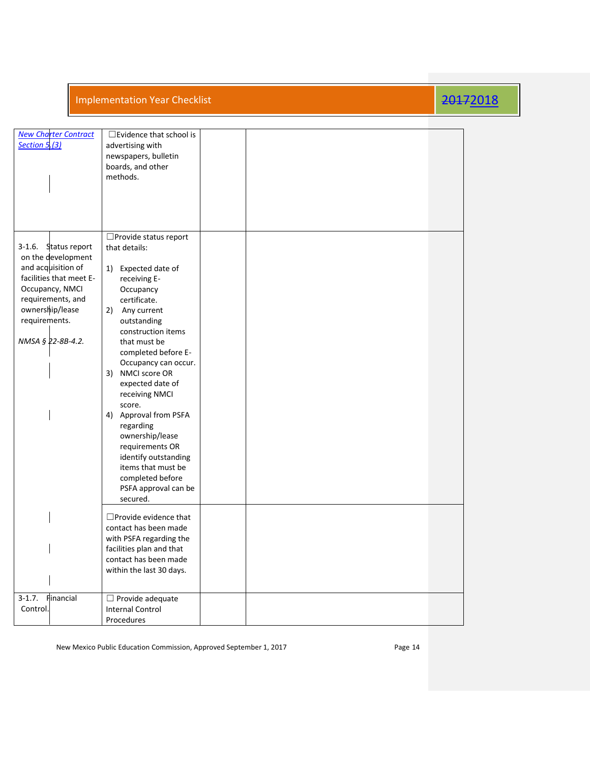| <b>New Charter Contract</b><br><b>Section 5.(3)</b>                                                                                                                                             | $\square$ Evidence that school is<br>advertising with<br>newspapers, bulletin<br>boards, and other<br>methods.                                                                                                                                                                                                                                                                                                                                                                              |  |  |
|-------------------------------------------------------------------------------------------------------------------------------------------------------------------------------------------------|---------------------------------------------------------------------------------------------------------------------------------------------------------------------------------------------------------------------------------------------------------------------------------------------------------------------------------------------------------------------------------------------------------------------------------------------------------------------------------------------|--|--|
| Status report<br>3-1.6.<br>on the development<br>and acquisition of<br>facilities that meet E-<br>Occupancy, NMCI<br>requirements, and<br>ownership/lease<br>requirements.<br>NMSA § 22-8B-4.2. | □ Provide status report<br>that details:<br>Expected date of<br>1)<br>receiving E-<br>Occupancy<br>certificate.<br>2) Any current<br>outstanding<br>construction items<br>that must be<br>completed before E-<br>Occupancy can occur.<br>3) NMCI score OR<br>expected date of<br>receiving NMCI<br>score.<br>4) Approval from PSFA<br>regarding<br>ownership/lease<br>requirements OR<br>identify outstanding<br>items that must be<br>completed before<br>PSFA approval can be<br>secured. |  |  |
|                                                                                                                                                                                                 | $\Box$ Provide evidence that<br>contact has been made<br>with PSFA regarding the<br>facilities plan and that<br>contact has been made<br>within the last 30 days.                                                                                                                                                                                                                                                                                                                           |  |  |
| Financial<br>$3-1.7.$<br>Control.                                                                                                                                                               | $\Box$ Provide adequate<br><b>Internal Control</b><br>Procedures                                                                                                                                                                                                                                                                                                                                                                                                                            |  |  |

New Mexico Public Education Commission, Approved September 1, 2017 Page 14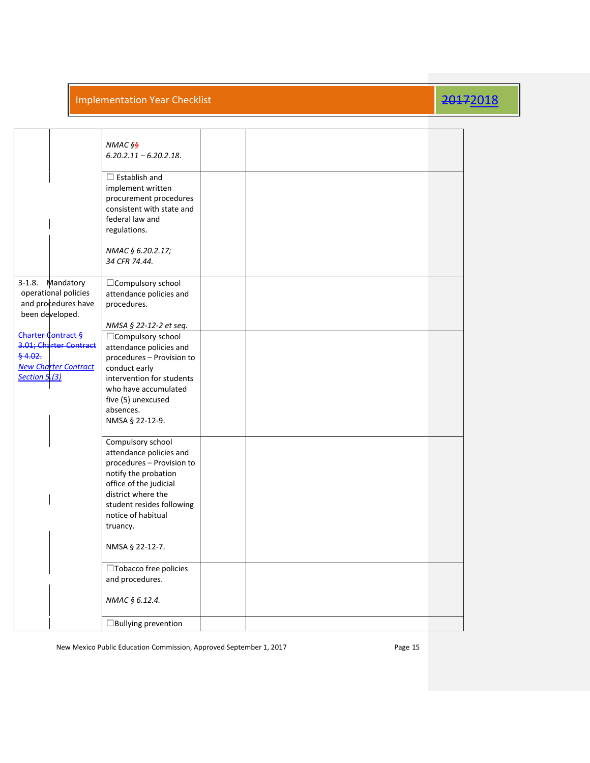|                                                                                                        | NMAC § <del>§</del><br>$6.20.2.11 - 6.20.2.18$ .                                                                                                                                                                                       |  |  |  |
|--------------------------------------------------------------------------------------------------------|----------------------------------------------------------------------------------------------------------------------------------------------------------------------------------------------------------------------------------------|--|--|--|
|                                                                                                        | $\Box$ Establish and<br>implement written<br>procurement procedures<br>consistent with state and<br>federal law and<br>regulations.                                                                                                    |  |  |  |
|                                                                                                        | NMAC § 6.20.2.17;<br>34 CFR 74.44.                                                                                                                                                                                                     |  |  |  |
| Mandatory<br>3-1.8.<br>operational policies<br>and procedures have<br>been developed.                  | □ Compulsory school<br>attendance policies and<br>procedures.                                                                                                                                                                          |  |  |  |
| Charter Contract §<br>3.01; Charter Contract<br>64.02.<br><b>New Charter Contract</b><br>Section 5.(3) | NMSA § 22-12-2 et seq.<br>$\Box$ Compulsory school<br>attendance policies and<br>procedures - Provision to<br>conduct early<br>intervention for students<br>who have accumulated<br>five (5) unexcused<br>absences.<br>NMSA § 22-12-9. |  |  |  |
|                                                                                                        | Compulsory school<br>attendance policies and<br>procedures - Provision to<br>notify the probation<br>office of the judicial<br>district where the<br>student resides following<br>notice of habitual<br>truancy.                       |  |  |  |
|                                                                                                        | NMSA § 22-12-7.<br>□Tobacco free policies                                                                                                                                                                                              |  |  |  |
|                                                                                                        | and procedures.<br>NMAC § 6.12.4.                                                                                                                                                                                                      |  |  |  |
|                                                                                                        | $\Box$ Bullying prevention                                                                                                                                                                                                             |  |  |  |

New Mexico Public Education Commission, Approved September 1, 2017 **Page 15** Page 15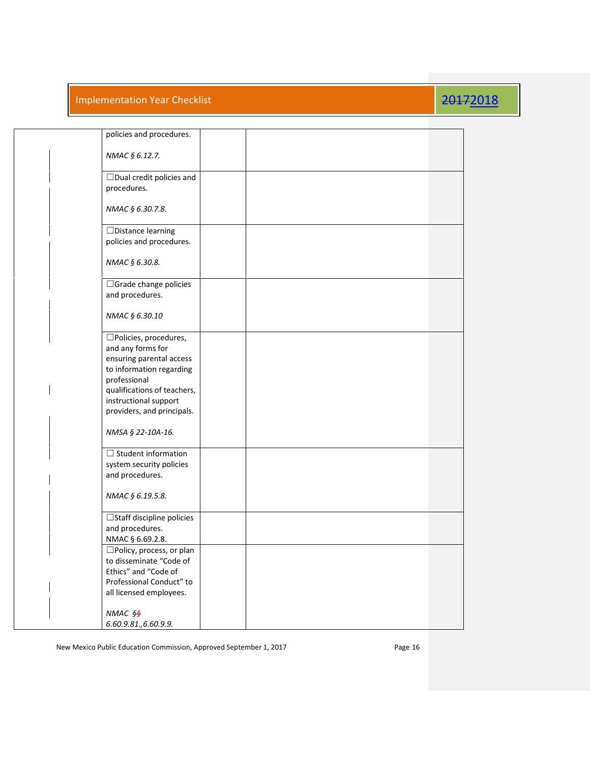| policies and procedures.                                                                                                                                                                                  |  |  |
|-----------------------------------------------------------------------------------------------------------------------------------------------------------------------------------------------------------|--|--|
| NMAC § 6.12.7.                                                                                                                                                                                            |  |  |
| $\Box$ Dual credit policies and<br>procedures.                                                                                                                                                            |  |  |
| NMAC § 6.30.7.8.                                                                                                                                                                                          |  |  |
| $\Box$ Distance learning<br>policies and procedures.                                                                                                                                                      |  |  |
| NMAC § 6.30.8.                                                                                                                                                                                            |  |  |
| □ Grade change policies<br>and procedures.                                                                                                                                                                |  |  |
| NMAC § 6.30.10                                                                                                                                                                                            |  |  |
| □Policies, procedures,<br>and any forms for<br>ensuring parental access<br>to information regarding<br>professional<br>qualifications of teachers,<br>instructional support<br>providers, and principals. |  |  |
| NMSA § 22-10A-16.                                                                                                                                                                                         |  |  |
| $\Box$ Student information<br>system security policies<br>and procedures.                                                                                                                                 |  |  |
| NMAC § 6.19.5.8.                                                                                                                                                                                          |  |  |
| □Staff discipline policies<br>and procedures.<br>NMAC § 6.69.2.8.                                                                                                                                         |  |  |
| $\square$ Policy, process, or plan<br>to disseminate "Code of<br>Ethics" and "Code of<br>Professional Conduct" to<br>all licensed employees.                                                              |  |  |
| NMAC § <del>§</del><br>6.60.9.81., 6.60.9.9.                                                                                                                                                              |  |  |

New Mexico Public Education Commission, Approved September 1, 2017 **Page 16** Page 16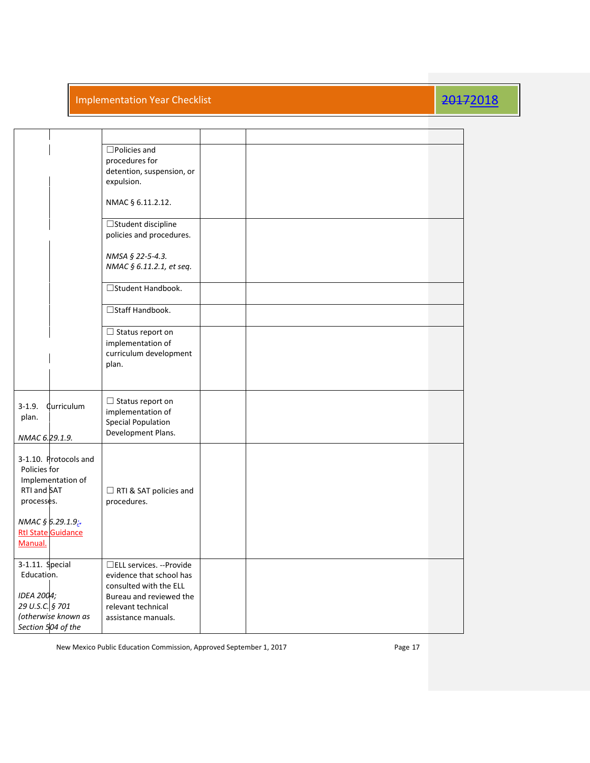|                                                                                                                                                     | $\square$ Policies and<br>procedures for<br>detention, suspension, or<br>expulsion.<br>NMAC § 6.11.2.12. |  |  |  |
|-----------------------------------------------------------------------------------------------------------------------------------------------------|----------------------------------------------------------------------------------------------------------|--|--|--|
|                                                                                                                                                     |                                                                                                          |  |  |  |
|                                                                                                                                                     | □Student discipline<br>policies and procedures.                                                          |  |  |  |
|                                                                                                                                                     | NMSA § 22-5-4.3.<br>NMAC § 6.11.2.1, et seq.                                                             |  |  |  |
|                                                                                                                                                     | □Student Handbook.                                                                                       |  |  |  |
|                                                                                                                                                     | □Staff Handbook.                                                                                         |  |  |  |
|                                                                                                                                                     | $\Box$ Status report on<br>implementation of<br>curriculum development<br>plan.                          |  |  |  |
| $3-1.9.$<br>Curriculum<br>plan.<br>NMAC 6.29.1.9.                                                                                                   | $\Box$ Status report on<br>implementation of<br><b>Special Population</b><br>Development Plans.          |  |  |  |
| 3-1.10. Protocols and<br>Policies for<br>Implementation of<br>RTI and SAT<br>processes.<br>NMAC § 6.29.1.9;<br><b>Rtl State Guidance</b><br>Manual. | RTI & SAT policies and<br>procedures.                                                                    |  |  |  |
| 3-1.11. Special<br>Education.                                                                                                                       | □ELL services. --Provide<br>evidence that school has<br>consulted with the ELL                           |  |  |  |
| IDEA 2004;<br>29 U.S.C. § 701<br>(otherwise known as                                                                                                | Bureau and reviewed the<br>relevant technical<br>assistance manuals.                                     |  |  |  |
| Section 504 of the                                                                                                                                  |                                                                                                          |  |  |  |

New Mexico Public Education Commission, Approved September 1, 2017 **Page 17** Page 17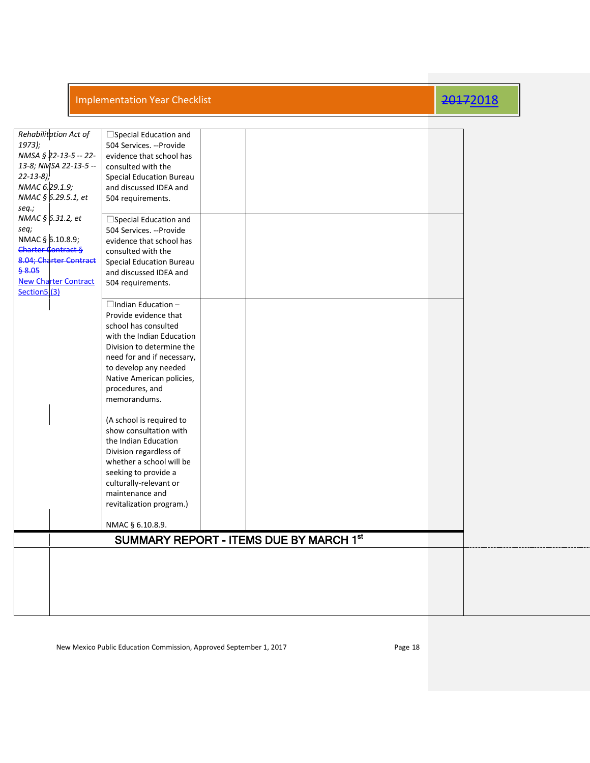| Rehabilitation Act of                               | $\Box$ Special Education and                       |                                         |  |
|-----------------------------------------------------|----------------------------------------------------|-----------------------------------------|--|
| 1973);                                              | 504 Services. --Provide                            |                                         |  |
| NMSA § 22-13-5 -- 22-                               | evidence that school has                           |                                         |  |
| 13-8; NMSA 22-13-5 --                               | consulted with the                                 |                                         |  |
| $22 - 13 - 8$ )                                     | <b>Special Education Bureau</b>                    |                                         |  |
| NMAC 6.29.1.9;                                      | and discussed IDEA and                             |                                         |  |
| NMAC § 6.29.5.1, et                                 | 504 requirements.                                  |                                         |  |
| seq.;                                               |                                                    |                                         |  |
| NMAC § 6.31.2, et                                   | □ Special Education and                            |                                         |  |
| seq;                                                | 504 Services. --Provide                            |                                         |  |
| NMAC § 6.10.8.9;                                    | evidence that school has                           |                                         |  |
| <b>Charter Contract §</b><br>8.04; Charter Contract | consulted with the                                 |                                         |  |
| \$8.05                                              | <b>Special Education Bureau</b>                    |                                         |  |
| <b>New Charter Contract</b>                         | and discussed IDEA and<br>504 requirements.        |                                         |  |
| Section5.(3)                                        |                                                    |                                         |  |
|                                                     | $\Box$ Indian Education -                          |                                         |  |
|                                                     | Provide evidence that                              |                                         |  |
|                                                     | school has consulted                               |                                         |  |
|                                                     | with the Indian Education                          |                                         |  |
|                                                     | Division to determine the                          |                                         |  |
|                                                     | need for and if necessary,                         |                                         |  |
|                                                     | to develop any needed                              |                                         |  |
|                                                     | Native American policies,                          |                                         |  |
|                                                     | procedures, and                                    |                                         |  |
|                                                     | memorandums.                                       |                                         |  |
|                                                     |                                                    |                                         |  |
|                                                     | (A school is required to<br>show consultation with |                                         |  |
|                                                     | the Indian Education                               |                                         |  |
|                                                     | Division regardless of                             |                                         |  |
|                                                     | whether a school will be                           |                                         |  |
|                                                     | seeking to provide a                               |                                         |  |
|                                                     | culturally-relevant or                             |                                         |  |
|                                                     | maintenance and                                    |                                         |  |
|                                                     | revitalization program.)                           |                                         |  |
|                                                     |                                                    |                                         |  |
|                                                     | NMAC § 6.10.8.9.                                   |                                         |  |
|                                                     |                                                    | SUMMARY REPORT - ITEMS DUE BY MARCH 1st |  |
|                                                     |                                                    |                                         |  |
|                                                     |                                                    |                                         |  |
|                                                     |                                                    |                                         |  |
|                                                     |                                                    |                                         |  |
|                                                     |                                                    |                                         |  |
|                                                     |                                                    |                                         |  |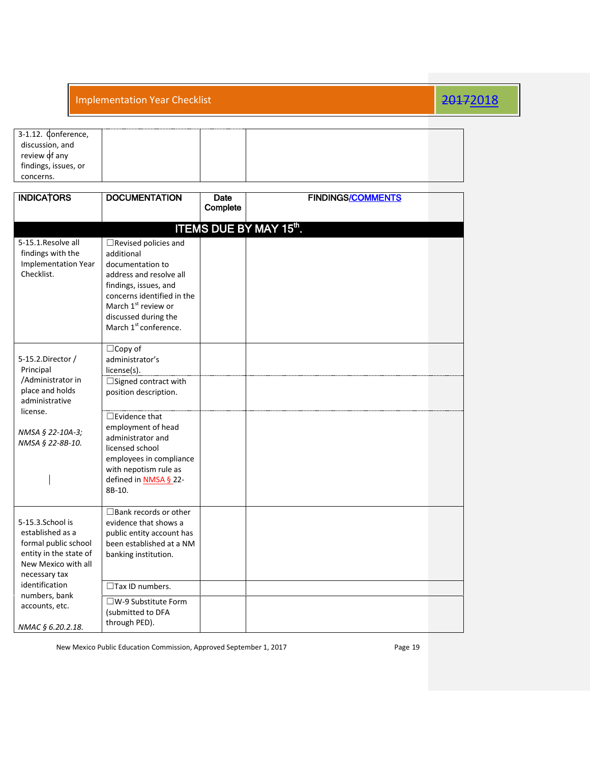| 3-1.12. Conference,  |  |  |
|----------------------|--|--|
| discussion, and      |  |  |
| review of any        |  |  |
| findings, issues, or |  |  |
| concerns.            |  |  |

| <b>INDICATORS</b>                                                                                                              | <b>DOCUMENTATION</b>                                                                                                                                                                                                                            | Date<br>Complete | <b>FINDINGS/COMMENTS</b> |  |  |  |  |  |  |
|--------------------------------------------------------------------------------------------------------------------------------|-------------------------------------------------------------------------------------------------------------------------------------------------------------------------------------------------------------------------------------------------|------------------|--------------------------|--|--|--|--|--|--|
|                                                                                                                                |                                                                                                                                                                                                                                                 |                  |                          |  |  |  |  |  |  |
|                                                                                                                                | <b>ITEMS DUE BY MAY 15th.</b>                                                                                                                                                                                                                   |                  |                          |  |  |  |  |  |  |
| 5-15.1. Resolve all<br>findings with the<br><b>Implementation Year</b><br>Checklist.                                           | $\Box$ Revised policies and<br>additional<br>documentation to<br>address and resolve all<br>findings, issues, and<br>concerns identified in the<br>March 1 <sup>st</sup> review or<br>discussed during the<br>March 1 <sup>st</sup> conference. |                  |                          |  |  |  |  |  |  |
| 5-15.2.Director /<br>Principal<br>/Administrator in                                                                            | $\Box$ Copy of<br>administrator's<br>license(s).<br>□ Signed contract with                                                                                                                                                                      |                  |                          |  |  |  |  |  |  |
| place and holds<br>administrative                                                                                              | position description.                                                                                                                                                                                                                           |                  |                          |  |  |  |  |  |  |
| license.<br>NMSA § 22-10A-3;<br>NMSA § 22-8B-10.                                                                               | $\Box$ Evidence that<br>employment of head<br>administrator and<br>licensed school<br>employees in compliance<br>with nepotism rule as<br>defined in <b>NMSA § 22-</b><br>8B-10.                                                                |                  |                          |  |  |  |  |  |  |
| 5-15.3.School is<br>established as a<br>formal public school<br>entity in the state of<br>New Mexico with all<br>necessary tax | $\Box$ Bank records or other<br>evidence that shows a<br>public entity account has<br>been established at a NM<br>banking institution.                                                                                                          |                  |                          |  |  |  |  |  |  |
| identification                                                                                                                 | $\Box$ Tax ID numbers.                                                                                                                                                                                                                          |                  |                          |  |  |  |  |  |  |
| numbers, bank<br>accounts, etc.                                                                                                | $\square$ W-9 Substitute Form<br>(submitted to DFA                                                                                                                                                                                              |                  |                          |  |  |  |  |  |  |
| NMAC § 6.20.2.18.                                                                                                              | through PED).                                                                                                                                                                                                                                   |                  |                          |  |  |  |  |  |  |

New Mexico Public Education Commission, Approved September 1, 2017 **Page 19** Page 19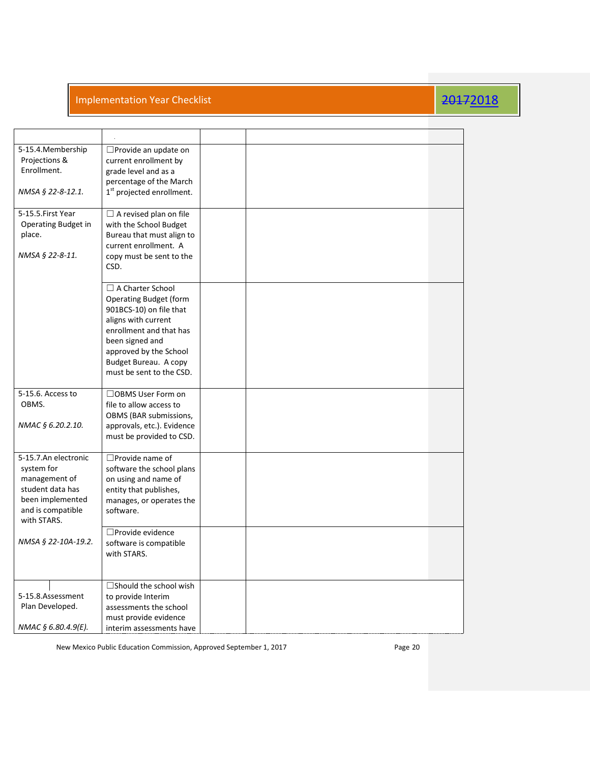| 5-15.4. Membership<br>Projections &<br>Enrollment.<br>NMSA § 22-8-12.1.                                                         | □ Provide an update on<br>current enrollment by<br>grade level and as a<br>percentage of the March<br>1 <sup>st</sup> projected enrollment.                                                                                             |  |  |  |
|---------------------------------------------------------------------------------------------------------------------------------|-----------------------------------------------------------------------------------------------------------------------------------------------------------------------------------------------------------------------------------------|--|--|--|
| 5-15.5.First Year<br>Operating Budget in<br>place.<br>NMSA § 22-8-11.                                                           | $\Box$ A revised plan on file<br>with the School Budget<br>Bureau that must align to<br>current enrollment. A<br>copy must be sent to the<br>CSD.                                                                                       |  |  |  |
|                                                                                                                                 | $\Box$ A Charter School<br><b>Operating Budget (form</b><br>901BCS-10) on file that<br>aligns with current<br>enrollment and that has<br>been signed and<br>approved by the School<br>Budget Bureau. A copy<br>must be sent to the CSD. |  |  |  |
| 5-15.6. Access to<br>OBMS.<br>NMAC § 6.20.2.10.                                                                                 | □OBMS User Form on<br>file to allow access to<br>OBMS (BAR submissions,<br>approvals, etc.). Evidence<br>must be provided to CSD.                                                                                                       |  |  |  |
| 5-15.7.An electronic<br>system for<br>management of<br>student data has<br>been implemented<br>and is compatible<br>with STARS. | $\Box$ Provide name of<br>software the school plans<br>on using and name of<br>entity that publishes,<br>manages, or operates the<br>software.                                                                                          |  |  |  |
| NMSA § 22-10A-19.2.                                                                                                             | □Provide evidence<br>software is compatible<br>with STARS.                                                                                                                                                                              |  |  |  |
| 5-15.8.Assessment<br>Plan Developed.<br>NMAC § 6.80.4.9(E).                                                                     | $\Box$ Should the school wish<br>to provide Interim<br>assessments the school<br>must provide evidence<br>interim assessments have                                                                                                      |  |  |  |

New Mexico Public Education Commission, Approved September 1, 2017 **Page 20** Page 20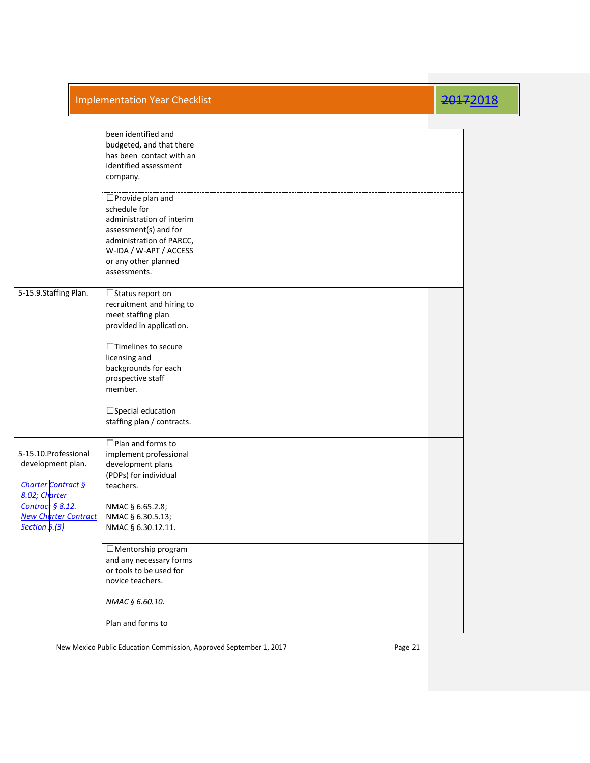|                                                                                                                                                                     | been identified and<br>budgeted, and that there<br>has been contact with an<br>identified assessment<br>company.<br>$\square$ Provide plan and                               |  |  |
|---------------------------------------------------------------------------------------------------------------------------------------------------------------------|------------------------------------------------------------------------------------------------------------------------------------------------------------------------------|--|--|
|                                                                                                                                                                     | schedule for<br>administration of interim<br>assessment(s) and for<br>administration of PARCC,<br>W-IDA / W-APT / ACCESS<br>or any other planned<br>assessments.             |  |  |
| 5-15.9.Staffing Plan.                                                                                                                                               | $\Box$ Status report on<br>recruitment and hiring to<br>meet staffing plan<br>provided in application.                                                                       |  |  |
|                                                                                                                                                                     | $\Box$ Timelines to secure<br>licensing and<br>backgrounds for each<br>prospective staff<br>member.                                                                          |  |  |
|                                                                                                                                                                     | $\Box$ Special education<br>staffing plan / contracts.                                                                                                                       |  |  |
| 5-15.10. Professional<br>development plan.<br>Charter Contract §<br>8.02; Charter<br><b>Contract § 8.12.</b><br><b>New Charter Contract</b><br><b>Section 5.(3)</b> | $\Box$ Plan and forms to<br>implement professional<br>development plans<br>(PDPs) for individual<br>teachers.<br>NMAC § 6.65.2.8;<br>NMAC § 6.30.5.13;<br>NMAC § 6.30.12.11. |  |  |
|                                                                                                                                                                     | $\Box$ Mentorship program<br>and any necessary forms<br>or tools to be used for<br>novice teachers.<br>NMAC § 6.60.10.                                                       |  |  |
|                                                                                                                                                                     | Plan and forms to                                                                                                                                                            |  |  |
|                                                                                                                                                                     |                                                                                                                                                                              |  |  |

New Mexico Public Education Commission, Approved September 1, 2017 **Page 21** Page 21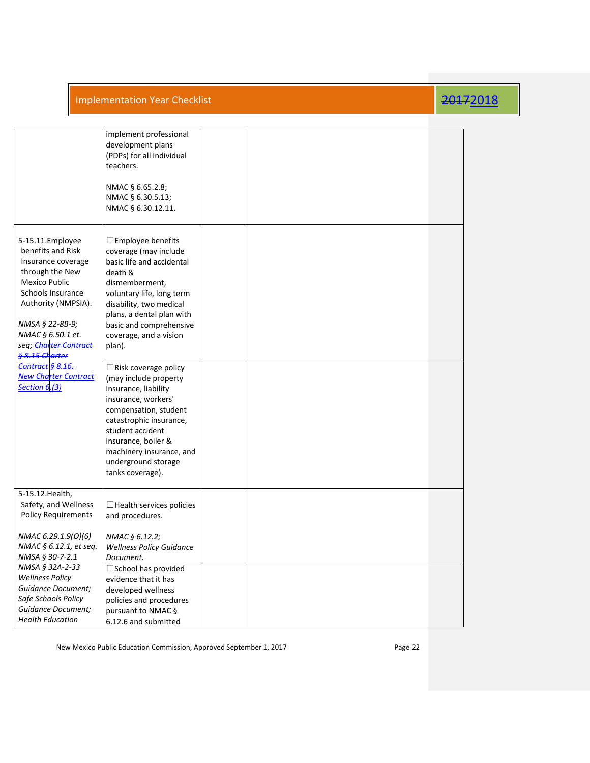|                                                                                                                                                                                                                                                                                                            | implement professional<br>development plans<br>(PDPs) for all individual<br>teachers.<br>NMAC § 6.65.2.8;<br>NMAC § 6.30.5.13;<br>NMAC § 6.30.12.11.                                                                                                                                                                                                                                                                                                                                                                                            |  |  |
|------------------------------------------------------------------------------------------------------------------------------------------------------------------------------------------------------------------------------------------------------------------------------------------------------------|-------------------------------------------------------------------------------------------------------------------------------------------------------------------------------------------------------------------------------------------------------------------------------------------------------------------------------------------------------------------------------------------------------------------------------------------------------------------------------------------------------------------------------------------------|--|--|
| 5-15.11. Employee<br>benefits and Risk<br>Insurance coverage<br>through the New<br>Mexico Public<br>Schools Insurance<br>Authority (NMPSIA).<br>NMSA § 22-8B-9;<br>NMAC § 6.50.1 et.<br>seq; Charter Contract<br>§ 8.15 Charter<br>Contract § 8.16.<br><b>New Charter Contract</b><br><b>Section 6.(3)</b> | $\square$ Employee benefits<br>coverage (may include<br>basic life and accidental<br>death &<br>dismemberment,<br>voluntary life, long term<br>disability, two medical<br>plans, a dental plan with<br>basic and comprehensive<br>coverage, and a vision<br>plan).<br>$\Box$ Risk coverage policy<br>(may include property<br>insurance, liability<br>insurance, workers'<br>compensation, student<br>catastrophic insurance,<br>student accident<br>insurance, boiler &<br>machinery insurance, and<br>underground storage<br>tanks coverage). |  |  |
| 5-15.12. Health,<br>Safety, and Wellness<br><b>Policy Requirements</b>                                                                                                                                                                                                                                     | $\Box$ Health services policies<br>and procedures.                                                                                                                                                                                                                                                                                                                                                                                                                                                                                              |  |  |
| NMAC 6.29.1.9(0)(6)<br>NMAC § 6.12.1, et seq.<br>NMSA § 30-7-2.1                                                                                                                                                                                                                                           | NMAC § 6.12.2;<br><b>Wellness Policy Guidance</b><br>Document.                                                                                                                                                                                                                                                                                                                                                                                                                                                                                  |  |  |
| NMSA § 32A-2-33<br><b>Wellness Policy</b><br>Guidance Document;<br>Safe Schools Policy<br><b>Guidance Document;</b><br><b>Health Education</b>                                                                                                                                                             | $\square$ School has provided<br>evidence that it has<br>developed wellness<br>policies and procedures<br>pursuant to NMAC §<br>6.12.6 and submitted                                                                                                                                                                                                                                                                                                                                                                                            |  |  |

New Mexico Public Education Commission, Approved September 1, 2017 **Page 22** Page 22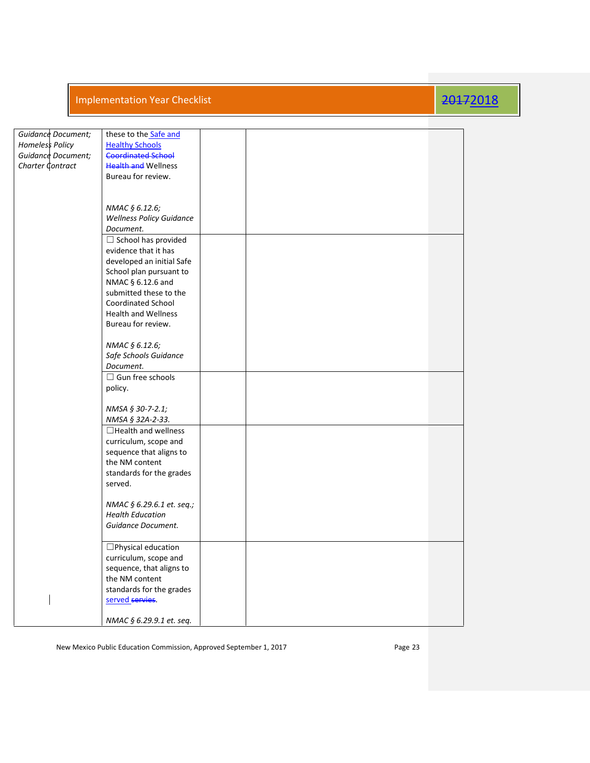| Guidance Document;<br><b>Homeless Policy</b><br>Guidance Document;<br>Charter Contract | these to the Safe and<br><b>Healthy Schools</b><br><b>Coordinated School</b><br><b>Health and Wellness</b><br>Bureau for review.                                                                                     |  |  |
|----------------------------------------------------------------------------------------|----------------------------------------------------------------------------------------------------------------------------------------------------------------------------------------------------------------------|--|--|
|                                                                                        | NMAC § 6.12.6;<br><b>Wellness Policy Guidance</b><br>Document.                                                                                                                                                       |  |  |
|                                                                                        | $\Box$ School has provided<br>evidence that it has<br>developed an initial Safe<br>School plan pursuant to<br>NMAC § 6.12.6 and<br>submitted these to the<br><b>Coordinated School</b><br><b>Health and Wellness</b> |  |  |
|                                                                                        | Bureau for review.<br>NMAC § 6.12.6;<br>Safe Schools Guidance<br>Document.                                                                                                                                           |  |  |
|                                                                                        | $\Box$ Gun free schools<br>policy.                                                                                                                                                                                   |  |  |
|                                                                                        | NMSA § 30-7-2.1;<br>NMSA § 32A-2-33.                                                                                                                                                                                 |  |  |
|                                                                                        | $\Box$ Health and wellness<br>curriculum, scope and<br>sequence that aligns to<br>the NM content<br>standards for the grades<br>served.                                                                              |  |  |
|                                                                                        | NMAC § 6.29.6.1 et. seq.;<br><b>Health Education</b><br>Guidance Document.                                                                                                                                           |  |  |
|                                                                                        | □Physical education<br>curriculum, scope and<br>sequence, that aligns to<br>the NM content<br>standards for the grades<br>served servies.                                                                            |  |  |
|                                                                                        | NMAC § 6.29.9.1 et. seq.                                                                                                                                                                                             |  |  |

New Mexico Public Education Commission, Approved September 1, 2017 **Page 23** Page 23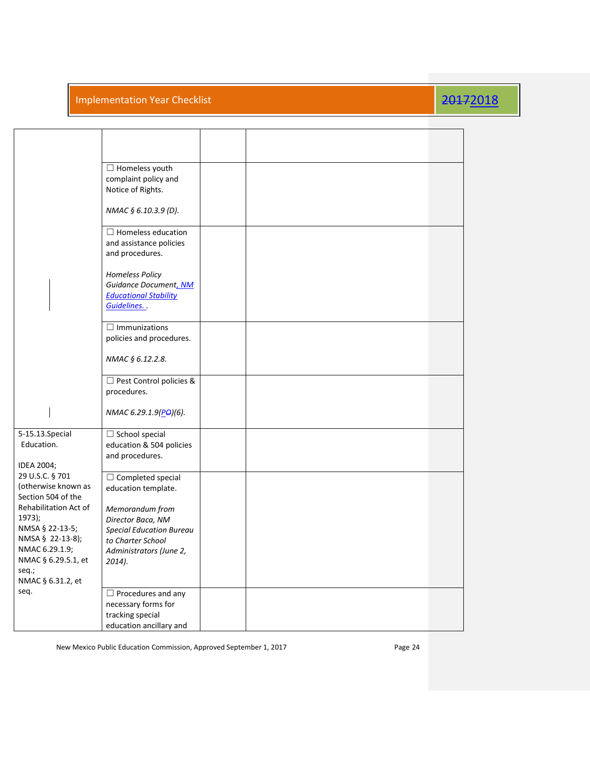|                                                                                                                                               | $\Box$ Homeless youth<br>complaint policy and<br>Notice of Rights.                                                                   |  |  |
|-----------------------------------------------------------------------------------------------------------------------------------------------|--------------------------------------------------------------------------------------------------------------------------------------|--|--|
|                                                                                                                                               | NMAC § 6.10.3.9 (D).                                                                                                                 |  |  |
|                                                                                                                                               | $\Box$ Homeless education<br>and assistance policies<br>and procedures.                                                              |  |  |
|                                                                                                                                               | Homeless Policy<br>Guidance Document, NM<br><b>Educational Stability</b><br>Guidelines                                               |  |  |
|                                                                                                                                               | $\Box$ Immunizations<br>policies and procedures.                                                                                     |  |  |
|                                                                                                                                               | NMAC § 6.12.2.8.                                                                                                                     |  |  |
|                                                                                                                                               | $\Box$ Pest Control policies &<br>procedures.                                                                                        |  |  |
|                                                                                                                                               | NMAC 6.29.1.9(PO)(6).                                                                                                                |  |  |
| 5-15.13.Special<br>Education.<br>IDEA 2004;                                                                                                   | $\Box$ School special<br>education & 504 policies<br>and procedures.                                                                 |  |  |
| 29 U.S.C. § 701<br>(otherwise known as<br>Section 504 of the                                                                                  | $\Box$ Completed special<br>education template.                                                                                      |  |  |
| Rehabilitation Act of<br>1973);<br>NMSA § 22-13-5;<br>NMSA § 22-13-8);<br>NMAC 6.29.1.9;<br>NMAC § 6.29.5.1, et<br>seq.;<br>NMAC § 6.31.2, et | Memorandum from<br>Director Baca, NM<br><b>Special Education Bureau</b><br>to Charter School<br>Administrators (June 2,<br>$2014$ ). |  |  |
| seq.                                                                                                                                          | $\Box$ Procedures and any<br>necessary forms for<br>tracking special<br>education ancillary and                                      |  |  |

New Mexico Public Education Commission, Approved September 1, 2017 **Page 24** Page 24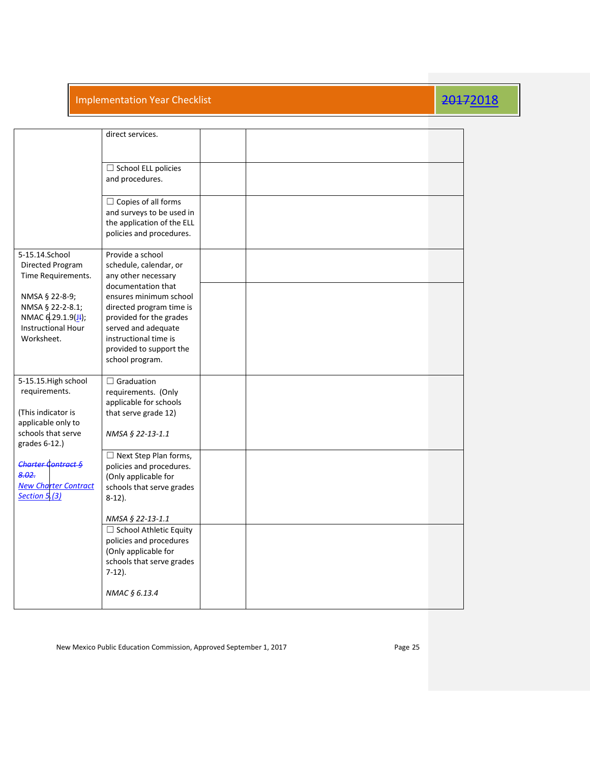|                                                                                                    | direct services.                                                                                                                                                                                  |  |  |  |
|----------------------------------------------------------------------------------------------------|---------------------------------------------------------------------------------------------------------------------------------------------------------------------------------------------------|--|--|--|
|                                                                                                    | $\Box$ School ELL policies<br>and procedures.                                                                                                                                                     |  |  |  |
|                                                                                                    | $\Box$ Copies of all forms<br>and surveys to be used in<br>the application of the ELL<br>policies and procedures.                                                                                 |  |  |  |
| 5-15.14.School<br>Directed Program<br>Time Requirements.                                           | Provide a school<br>schedule, calendar, or<br>any other necessary                                                                                                                                 |  |  |  |
| NMSA § 22-8-9;<br>NMSA § 22-2-8.1;<br>NMAC 6.29.1.9(J);<br><b>Instructional Hour</b><br>Worksheet. | documentation that<br>ensures minimum school<br>directed program time is<br>provided for the grades<br>served and adequate<br>instructional time is<br>provided to support the<br>school program. |  |  |  |
| 5-15.15. High school<br>requirements.                                                              | $\Box$ Graduation<br>requirements. (Only<br>applicable for schools                                                                                                                                |  |  |  |
| (This indicator is<br>applicable only to<br>schools that serve<br>grades 6-12.)                    | that serve grade 12)<br>NMSA § 22-13-1.1                                                                                                                                                          |  |  |  |
| <b>Charter Contract §</b><br>8.02.<br><b>New Charter Contract</b><br>Section 5.(3)                 | $\Box$ Next Step Plan forms,<br>policies and procedures.<br>(Only applicable for<br>schools that serve grades<br>$8-12$ ).                                                                        |  |  |  |
|                                                                                                    | NMSA § 22-13-1.1                                                                                                                                                                                  |  |  |  |
|                                                                                                    | □ School Athletic Equity<br>policies and procedures<br>(Only applicable for<br>schools that serve grades<br>$7-12$ ).                                                                             |  |  |  |
|                                                                                                    | NMAC § 6.13.4                                                                                                                                                                                     |  |  |  |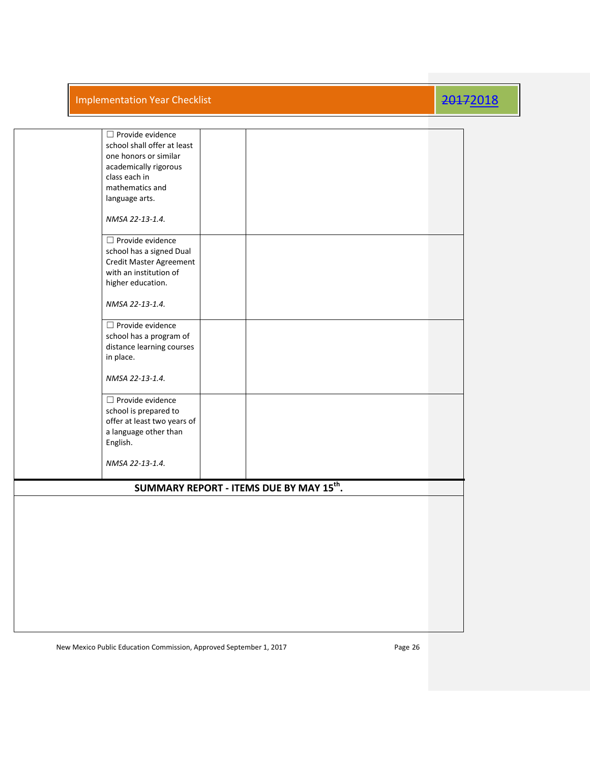| $\Box$ Provide evidence                              |  |
|------------------------------------------------------|--|
| school shall offer at least                          |  |
| one honors or similar                                |  |
| academically rigorous                                |  |
| class each in                                        |  |
| mathematics and                                      |  |
|                                                      |  |
| language arts.                                       |  |
|                                                      |  |
| NMSA 22-13-1.4.                                      |  |
|                                                      |  |
| $\Box$ Provide evidence                              |  |
| school has a signed Dual                             |  |
| Credit Master Agreement                              |  |
| with an institution of                               |  |
| higher education.                                    |  |
|                                                      |  |
| NMSA 22-13-1.4.                                      |  |
|                                                      |  |
|                                                      |  |
| $\Box$ Provide evidence                              |  |
| school has a program of                              |  |
| distance learning courses                            |  |
| in place.                                            |  |
|                                                      |  |
| NMSA 22-13-1.4.                                      |  |
|                                                      |  |
| $\Box$ Provide evidence                              |  |
| school is prepared to                                |  |
| offer at least two years of                          |  |
| a language other than                                |  |
| English.                                             |  |
|                                                      |  |
|                                                      |  |
| NMSA 22-13-1.4.                                      |  |
|                                                      |  |
| SUMMARY REPORT - ITEMS DUE BY MAY 15 <sup>th</sup> . |  |
|                                                      |  |
|                                                      |  |
|                                                      |  |
|                                                      |  |
|                                                      |  |
|                                                      |  |
|                                                      |  |
|                                                      |  |
|                                                      |  |
|                                                      |  |
|                                                      |  |
|                                                      |  |
|                                                      |  |
|                                                      |  |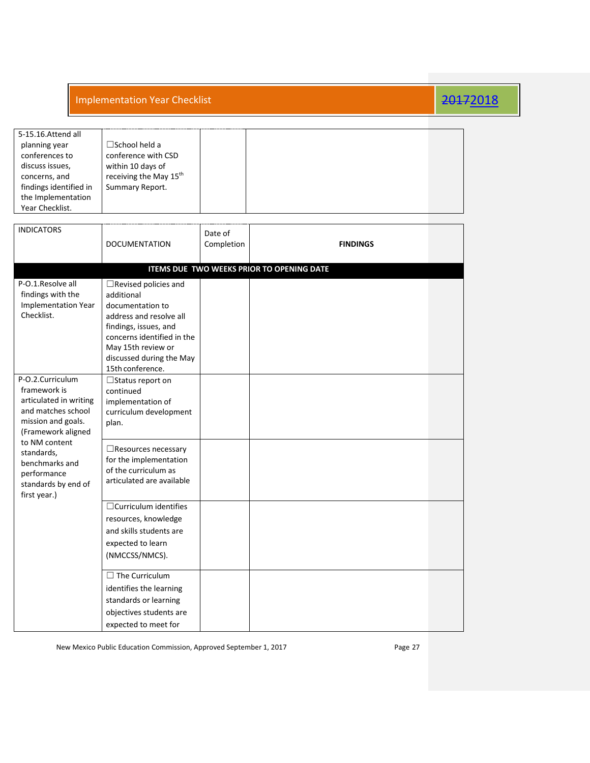| 5-15.16.Attend all     |                                    |  |  |  |  |
|------------------------|------------------------------------|--|--|--|--|
| planning year          | $\square$ School held a            |  |  |  |  |
| conferences to         | conference with CSD                |  |  |  |  |
| discuss issues,        | within 10 days of                  |  |  |  |  |
| concerns, and          | receiving the May 15 <sup>th</sup> |  |  |  |  |
| findings identified in | Summary Report.                    |  |  |  |  |
| the Implementation     |                                    |  |  |  |  |
| Year Checklist.        |                                    |  |  |  |  |

| <b>INDICATORS</b>                                                                                                                                                                                                                   | <b>DOCUMENTATION</b>                                                                                                                                                                                                  | Date of<br>Completion | <b>FINDINGS</b>                                  |  |
|-------------------------------------------------------------------------------------------------------------------------------------------------------------------------------------------------------------------------------------|-----------------------------------------------------------------------------------------------------------------------------------------------------------------------------------------------------------------------|-----------------------|--------------------------------------------------|--|
|                                                                                                                                                                                                                                     |                                                                                                                                                                                                                       |                       | <b>ITEMS DUE TWO WEEKS PRIOR TO OPENING DATE</b> |  |
| P-O.1.Resolve all<br>findings with the<br><b>Implementation Year</b><br>Checklist.                                                                                                                                                  | $\Box$ Revised policies and<br>additional<br>documentation to<br>address and resolve all<br>findings, issues, and<br>concerns identified in the<br>May 15th review or<br>discussed during the May<br>15th conference. |                       |                                                  |  |
| P-O.2.Curriculum<br>framework is<br>articulated in writing<br>and matches school<br>mission and goals.<br>(Framework aligned<br>to NM content<br>standards,<br>benchmarks and<br>performance<br>standards by end of<br>first year.) | $\Box$ Status report on<br>continued<br>implementation of<br>curriculum development<br>plan.                                                                                                                          |                       |                                                  |  |
|                                                                                                                                                                                                                                     | $\Box$ Resources necessary<br>for the implementation<br>of the curriculum as<br>articulated are available                                                                                                             |                       |                                                  |  |
|                                                                                                                                                                                                                                     | $\Box$ Curriculum identifies<br>resources, knowledge<br>and skills students are<br>expected to learn<br>(NMCCSS/NMCS).                                                                                                |                       |                                                  |  |
|                                                                                                                                                                                                                                     | $\Box$ The Curriculum<br>identifies the learning<br>standards or learning<br>objectives students are<br>expected to meet for                                                                                          |                       |                                                  |  |

New Mexico Public Education Commission, Approved September 1, 2017 **Page 27** Page 27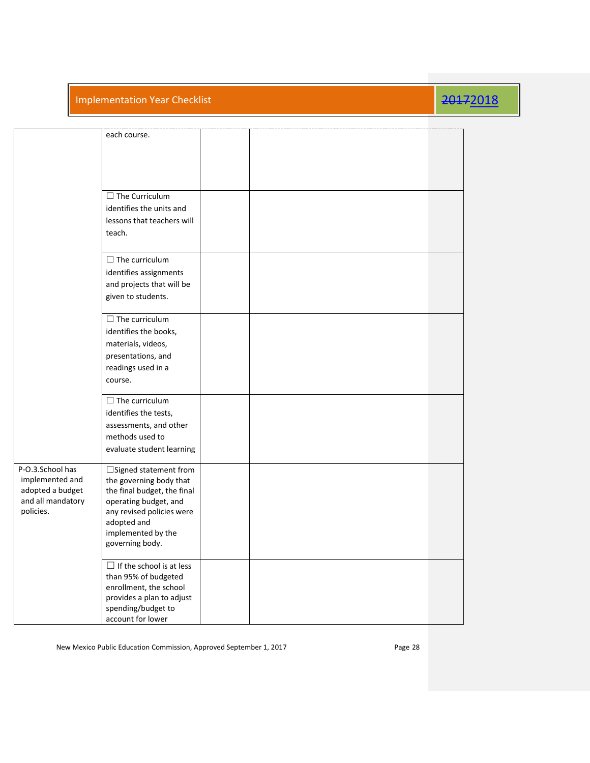|                                                                                           | each course.                                                                                                                                                                                         |  |  |
|-------------------------------------------------------------------------------------------|------------------------------------------------------------------------------------------------------------------------------------------------------------------------------------------------------|--|--|
|                                                                                           | $\Box$ The Curriculum<br>identifies the units and<br>lessons that teachers will<br>teach.                                                                                                            |  |  |
|                                                                                           | $\Box$ The curriculum<br>identifies assignments<br>and projects that will be<br>given to students.                                                                                                   |  |  |
|                                                                                           | $\Box$ The curriculum<br>identifies the books,<br>materials, videos,<br>presentations, and<br>readings used in a<br>course.                                                                          |  |  |
|                                                                                           | $\Box$ The curriculum<br>identifies the tests,<br>assessments, and other<br>methods used to<br>evaluate student learning                                                                             |  |  |
| P-O.3.School has<br>implemented and<br>adopted a budget<br>and all mandatory<br>policies. | $\Box$ Signed statement from<br>the governing body that<br>the final budget, the final<br>operating budget, and<br>any revised policies were<br>adopted and<br>implemented by the<br>governing body. |  |  |
|                                                                                           | $\Box$ If the school is at less<br>than 95% of budgeted<br>enrollment, the school<br>provides a plan to adjust<br>spending/budget to<br>account for lower                                            |  |  |

New Mexico Public Education Commission, Approved September 1, 2017 Page 28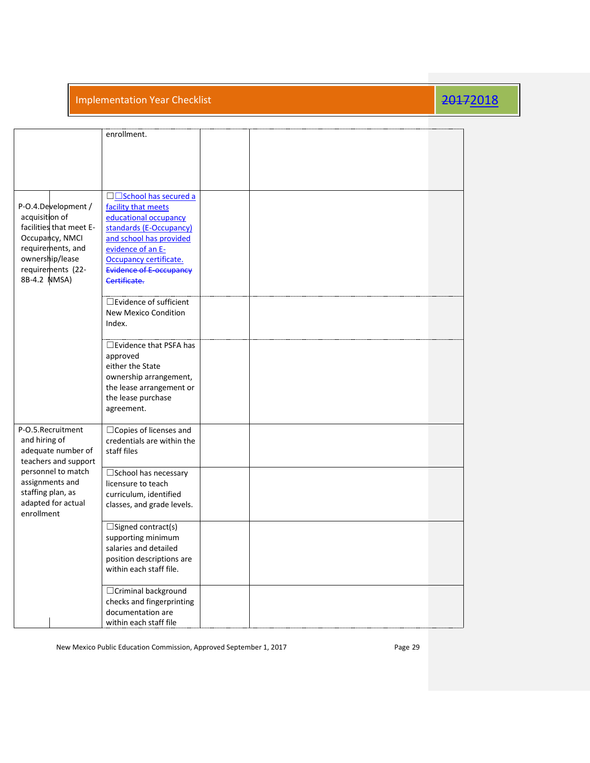|                                                                                                                                                                  | enrollment.<br>□□School has secured a                                                                                                                                                        |  |  |
|------------------------------------------------------------------------------------------------------------------------------------------------------------------|----------------------------------------------------------------------------------------------------------------------------------------------------------------------------------------------|--|--|
| P-O.4.Development /<br>acquisition of<br>facilities that meet E-<br>Occupancy, NMCI<br>requirements, and<br>ownership/lease<br>requirements (22-<br>8B-4.2 NMSA) | facility that meets<br>educational occupancy<br>standards (E-Occupancy)<br>and school has provided<br>evidence of an E-<br>Occupancy certificate.<br>Evidence of E-occupancy<br>Certificate. |  |  |
|                                                                                                                                                                  | $\square$ Evidence of sufficient<br><b>New Mexico Condition</b><br>Index.                                                                                                                    |  |  |
|                                                                                                                                                                  | □Evidence that PSFA has<br>approved<br>either the State<br>ownership arrangement,<br>the lease arrangement or<br>the lease purchase<br>agreement.                                            |  |  |
| P-O.5.Recruitment<br>and hiring of<br>adequate number of<br>teachers and support                                                                                 | □ Copies of licenses and<br>credentials are within the<br>staff files                                                                                                                        |  |  |
| personnel to match<br>assignments and<br>staffing plan, as<br>adapted for actual<br>enrollment                                                                   | □School has necessary<br>licensure to teach<br>curriculum, identified<br>classes, and grade levels.                                                                                          |  |  |
|                                                                                                                                                                  | $\square$ Signed contract(s)<br>supporting minimum<br>salaries and detailed<br>position descriptions are<br>within each staff file.                                                          |  |  |
|                                                                                                                                                                  | □ Criminal background<br>checks and fingerprinting<br>documentation are<br>within each staff file                                                                                            |  |  |

New Mexico Public Education Commission, Approved September 1, 2017 Page 29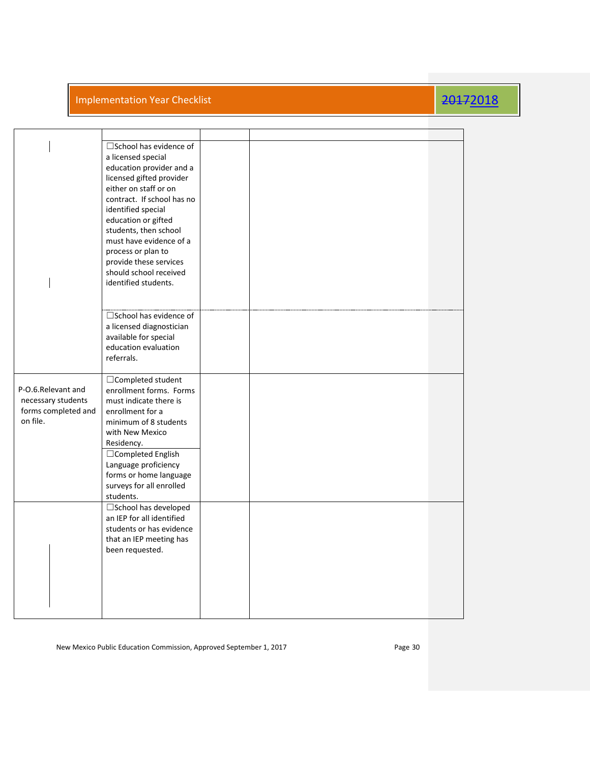|                                                                             | $\square$ School has evidence of<br>a licensed special<br>education provider and a<br>licensed gifted provider<br>either on staff or on<br>contract. If school has no<br>identified special<br>education or gifted<br>students, then school<br>must have evidence of a<br>process or plan to<br>provide these services<br>should school received<br>identified students. |  |  |
|-----------------------------------------------------------------------------|--------------------------------------------------------------------------------------------------------------------------------------------------------------------------------------------------------------------------------------------------------------------------------------------------------------------------------------------------------------------------|--|--|
|                                                                             | □School has evidence of<br>a licensed diagnostician<br>available for special<br>education evaluation<br>referrals.                                                                                                                                                                                                                                                       |  |  |
| P-O.6.Relevant and<br>necessary students<br>forms completed and<br>on file. | $\Box$ Completed student<br>enrollment forms. Forms<br>must indicate there is<br>enrollment for a<br>minimum of 8 students<br>with New Mexico<br>Residency.<br>□ Completed English<br>Language proficiency<br>forms or home language<br>surveys for all enrolled<br>students.                                                                                            |  |  |
|                                                                             | □School has developed<br>an IEP for all identified<br>students or has evidence<br>that an IEP meeting has<br>been requested.                                                                                                                                                                                                                                             |  |  |